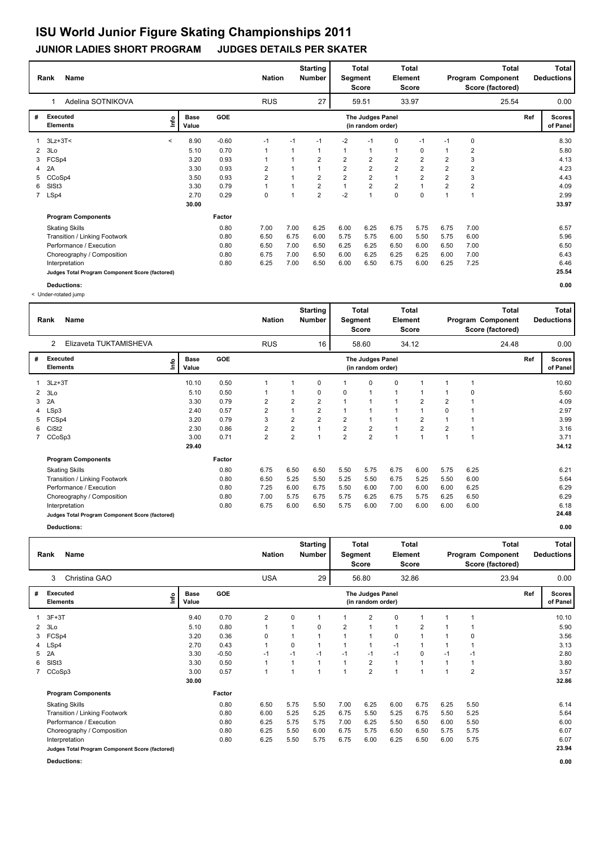### **JUNIOR LADIES SHORT PROGRAM JUDGES DETAILS PER SKATER**

|    | <b>Name</b><br>Rank                             |                          |                      |         |              | <b>Nation</b> |      | <b>Starting</b><br><b>Number</b> | Segment        | <b>Total</b><br><b>Score</b>          | Element        | <b>Total</b><br><b>Score</b> |                |                | Total<br>Program Component<br>Score (factored) |     | Total<br><b>Deductions</b> |
|----|-------------------------------------------------|--------------------------|----------------------|---------|--------------|---------------|------|----------------------------------|----------------|---------------------------------------|----------------|------------------------------|----------------|----------------|------------------------------------------------|-----|----------------------------|
|    | Adelina SOTNIKOVA                               |                          |                      |         |              | <b>RUS</b>    |      | 27                               |                | 59.51                                 |                | 33.97                        |                |                | 25.54                                          |     | 0.00                       |
| #  | <b>Executed</b><br><b>Elements</b>              | ١nf٥                     | <b>Base</b><br>Value | GOE     |              |               |      |                                  |                | The Judges Panel<br>(in random order) |                |                              |                |                |                                                | Ref | <b>Scores</b><br>of Panel  |
|    | 3Lz+3T<                                         | $\overline{\phantom{a}}$ | 8.90                 | $-0.60$ | $-1$         |               | $-1$ | $-1$                             | $-2$           | $-1$                                  | 0              | $-1$                         | $-1$           | 0              |                                                |     | 8.30                       |
|    | 2 <sub>3Lo</sub>                                |                          | 5.10                 | 0.70    | $\mathbf{1}$ |               |      | 1                                | $\mathbf 1$    |                                       | $\mathbf{1}$   | 0                            |                | 2              |                                                |     | 5.80                       |
| 3  | FCSp4                                           |                          | 3.20                 | 0.93    | 1            |               |      | $\overline{2}$                   | $\overline{2}$ | $\overline{2}$                        | $\overline{2}$ | $\overline{2}$               | $\overline{2}$ | 3              |                                                |     | 4.13                       |
|    | 4 2A                                            |                          | 3.30                 | 0.93    | 2            |               |      |                                  | $\overline{2}$ | $\overline{2}$                        | $\overline{2}$ | $\overline{2}$               | $\overline{2}$ | $\overline{2}$ |                                                |     | 4.23                       |
| 5. | CCoSp4                                          |                          | 3.50                 | 0.93    | 2            |               |      | 2                                | $\overline{2}$ | $\overline{2}$                        | 1              | 2                            | $\overline{2}$ | 3              |                                                |     | 4.43                       |
| 6  | SISt <sub>3</sub>                               |                          | 3.30                 | 0.79    | 1            |               |      | $\overline{2}$                   | $\mathbf{1}$   | $\overline{2}$                        | $\overline{2}$ | $\overline{1}$               | $\overline{2}$ | $\overline{2}$ |                                                |     | 4.09                       |
|    | 7 LSp4                                          |                          | 2.70                 | 0.29    | 0            |               |      | $\overline{2}$                   | $-2$           | 1                                     | $\mathbf 0$    | $\Omega$                     |                | $\overline{1}$ |                                                |     | 2.99                       |
|    |                                                 |                          | 30.00                |         |              |               |      |                                  |                |                                       |                |                              |                |                |                                                |     | 33.97                      |
|    | <b>Program Components</b>                       |                          |                      | Factor  |              |               |      |                                  |                |                                       |                |                              |                |                |                                                |     |                            |
|    | <b>Skating Skills</b>                           |                          |                      | 0.80    | 7.00         |               | 7.00 | 6.25                             | 6.00           | 6.25                                  | 6.75           | 5.75                         | 6.75           | 7.00           |                                                |     | 6.57                       |
|    | Transition / Linking Footwork                   |                          |                      | 0.80    | 6.50         |               | 6.75 | 6.00                             | 5.75           | 5.75                                  | 6.00           | 5.50                         | 5.75           | 6.00           |                                                |     | 5.96                       |
|    | Performance / Execution                         |                          |                      | 0.80    | 6.50         |               | 7.00 | 6.50                             | 6.25           | 6.25                                  | 6.50           | 6.00                         | 6.50           | 7.00           |                                                |     | 6.50                       |
|    | Choreography / Composition                      |                          |                      | 0.80    | 6.75         |               | 7.00 | 6.50                             | 6.00           | 6.25                                  | 6.25           | 6.25                         | 6.00           | 7.00           |                                                |     | 6.43                       |
|    | Interpretation                                  |                          |                      | 0.80    | 6.25         |               | 7.00 | 6.50                             | 6.00           | 6.50                                  | 6.75           | 6.00                         | 6.25           | 7.25           |                                                |     | 6.46                       |
|    | Judges Total Program Component Score (factored) |                          |                      |         |              |               |      |                                  |                |                                       |                |                              |                |                |                                                |     | 25.54                      |
|    | Deductions:                                     |                          |                      |         |              |               |      |                                  |                |                                       |                |                              |                |                |                                                |     | 0.00                       |

< Under-rotated jump

|                | <b>Name</b><br>Rank                             |                              |            | <b>Nation</b>  |                | <b>Starting</b><br><b>Number</b> | Segment        | <b>Total</b><br><b>Score</b>          | Element | <b>Total</b><br><b>Score</b> |                |      | Total<br>Program Component<br>Score (factored) |     | <b>Total</b><br><b>Deductions</b> |
|----------------|-------------------------------------------------|------------------------------|------------|----------------|----------------|----------------------------------|----------------|---------------------------------------|---------|------------------------------|----------------|------|------------------------------------------------|-----|-----------------------------------|
|                | Elizaveta TUKTAMISHEVA<br>$\overline{2}$        |                              |            | <b>RUS</b>     |                | 16                               |                | 58.60                                 |         | 34.12                        |                |      | 24.48                                          |     | 0.00                              |
| #              | <b>Executed</b><br><b>Elements</b>              | <b>Base</b><br>Lnfo<br>Value | <b>GOE</b> |                |                |                                  |                | The Judges Panel<br>(in random order) |         |                              |                |      |                                                | Ref | <b>Scores</b><br>of Panel         |
|                | $3Lz + 3T$                                      | 10.10                        | 0.50       |                |                | 0                                |                | 0                                     | 0       |                              |                |      |                                                |     | 10.60                             |
| $\overline{2}$ | 3Lo                                             | 5.10                         | 0.50       |                |                | 0                                | 0              |                                       | 1       |                              |                | 0    |                                                |     | 5.60                              |
| 3              | 2A                                              | 3.30                         | 0.79       | 2              | $\overline{2}$ | $\overline{2}$                   | 4              |                                       |         | $\overline{2}$               | 2              |      |                                                |     | 4.09                              |
| 4              | LSp3                                            | 2.40                         | 0.57       | 2              | 1              | 2                                |                |                                       |         |                              | 0              |      |                                                |     | 2.97                              |
| 5              | FCSp4                                           | 3.20                         | 0.79       | 3              | $\overline{2}$ | $\overline{2}$                   | $\overline{2}$ |                                       |         | $\overline{2}$               |                |      |                                                |     | 3.99                              |
| 6              | CiSt <sub>2</sub>                               | 2.30                         | 0.86       | 2              | 2              | $\overline{ }$                   | $\overline{2}$ | $\overline{2}$                        |         | $\overline{2}$               | $\overline{2}$ |      |                                                |     | 3.16                              |
|                | CCoSp3                                          | 3.00                         | 0.71       | $\overline{2}$ | $\overline{2}$ | $\overline{1}$                   | $\overline{2}$ | $\overline{2}$                        | 1       | $\overline{1}$               | 1              |      |                                                |     | 3.71                              |
|                |                                                 | 29.40                        |            |                |                |                                  |                |                                       |         |                              |                |      |                                                |     | 34.12                             |
|                | <b>Program Components</b>                       |                              | Factor     |                |                |                                  |                |                                       |         |                              |                |      |                                                |     |                                   |
|                | <b>Skating Skills</b>                           |                              | 0.80       | 6.75           | 6.50           | 6.50                             | 5.50           | 5.75                                  | 6.75    | 6.00                         | 5.75           | 6.25 |                                                |     | 6.21                              |
|                | Transition / Linking Footwork                   |                              | 0.80       | 6.50           | 5.25           | 5.50                             | 5.25           | 5.50                                  | 6.75    | 5.25                         | 5.50           | 6.00 |                                                |     | 5.64                              |
|                | Performance / Execution                         |                              | 0.80       | 7.25           | 6.00           | 6.75                             | 5.50           | 6.00                                  | 7.00    | 6.00                         | 6.00           | 6.25 |                                                |     | 6.29                              |
|                | Choreography / Composition                      |                              | 0.80       | 7.00           | 5.75           | 6.75                             | 5.75           | 6.25                                  | 6.75    | 5.75                         | 6.25           | 6.50 |                                                |     | 6.29                              |
|                | Interpretation                                  |                              | 0.80       | 6.75           | 6.00           | 6.50                             | 5.75           | 6.00                                  | 7.00    | 6.00                         | 6.00           | 6.00 |                                                |     | 6.18                              |
|                | Judges Total Program Component Score (factored) |                              |            |                |                |                                  |                |                                       |         |                              |                |      |                                                |     | 24.48                             |

|                | Rank<br>Name                                    |    |                      |            |                | <b>Nation</b>  | <b>Starting</b><br><b>Number</b> |      | Total<br>Segment<br>Score             | Element        | Total<br>Score |      |      | <b>Total</b><br>Program Component<br>Score (factored) |     | Total<br><b>Deductions</b> |
|----------------|-------------------------------------------------|----|----------------------|------------|----------------|----------------|----------------------------------|------|---------------------------------------|----------------|----------------|------|------|-------------------------------------------------------|-----|----------------------------|
|                | Christina GAO<br>3                              |    |                      |            | <b>USA</b>     |                | 29                               |      | 56.80                                 |                | 32.86          |      |      | 23.94                                                 |     | 0.00                       |
| #              | Executed<br><b>Elements</b>                     | ۴o | <b>Base</b><br>Value | <b>GOE</b> |                |                |                                  |      | The Judges Panel<br>(in random order) |                |                |      |      |                                                       | Ref | <b>Scores</b><br>of Panel  |
|                | $1 \quad 3F+3T$                                 |    | 9.40                 | 0.70       | $\overline{2}$ | 0              |                                  |      | 2                                     | 0              | 1              |      |      |                                                       |     | 10.10                      |
| $\overline{2}$ | 3Lo                                             |    | 5.10                 | 0.80       | 1              | 1              | 0                                | 2    |                                       | 1              | 2              |      |      |                                                       |     | 5.90                       |
| 3              | FCSp4                                           |    | 3.20                 | 0.36       | 0              |                |                                  |      |                                       | 0              | 1              |      | 0    |                                                       |     | 3.56                       |
|                | 4 LSp4                                          |    | 2.70                 | 0.43       | 1              | 0              |                                  |      |                                       | $-1$           | 1              |      |      |                                                       |     | 3.13                       |
| 5              | 2A                                              |    | 3.30                 | $-0.50$    | $-1$           | $-1$           | $-1$                             | $-1$ | $-1$                                  | $-1$           | 0              | -1   | $-1$ |                                                       |     | 2.80                       |
| 6              | SISt <sub>3</sub>                               |    | 3.30                 | 0.50       | 1              | 1              |                                  |      | $\overline{2}$                        | 1              | 1              |      | 1    |                                                       |     | 3.80                       |
|                | 7 CCoSp3                                        |    | 3.00                 | 0.57       | $\mathbf{1}$   | $\overline{ }$ |                                  |      | $\overline{2}$                        | $\overline{1}$ | 1              |      | 2    |                                                       |     | 3.57                       |
|                |                                                 |    | 30.00                |            |                |                |                                  |      |                                       |                |                |      |      |                                                       |     | 32.86                      |
|                | <b>Program Components</b>                       |    |                      | Factor     |                |                |                                  |      |                                       |                |                |      |      |                                                       |     |                            |
|                | <b>Skating Skills</b>                           |    |                      | 0.80       | 6.50           | 5.75           | 5.50                             | 7.00 | 6.25                                  | 6.00           | 6.75           | 6.25 | 5.50 |                                                       |     | 6.14                       |
|                | Transition / Linking Footwork                   |    |                      | 0.80       | 6.00           | 5.25           | 5.25                             | 6.75 | 5.50                                  | 5.25           | 6.75           | 5.50 | 5.25 |                                                       |     | 5.64                       |
|                | Performance / Execution                         |    |                      | 0.80       | 6.25           | 5.75           | 5.75                             | 7.00 | 6.25                                  | 5.50           | 6.50           | 6.00 | 5.50 |                                                       |     | 6.00                       |
|                | Choreography / Composition                      |    |                      | 0.80       | 6.25           | 5.50           | 6.00                             | 6.75 | 5.75                                  | 6.50           | 6.50           | 5.75 | 5.75 |                                                       |     | 6.07                       |
|                | Interpretation                                  |    |                      | 0.80       | 6.25           | 5.50           | 5.75                             | 6.75 | 6.00                                  | 6.25           | 6.50           | 6.00 | 5.75 |                                                       |     | 6.07                       |
|                | Judges Total Program Component Score (factored) |    |                      |            |                |                |                                  |      |                                       |                |                |      |      |                                                       |     | 23.94                      |
|                | Deductions:                                     |    |                      |            |                |                |                                  |      |                                       |                |                |      |      |                                                       |     | 0.00                       |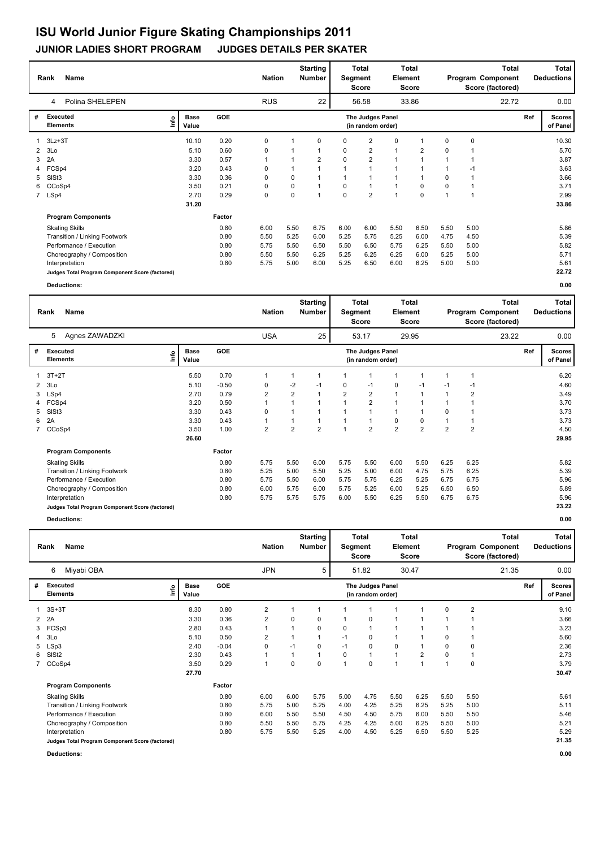## **JUNIOR LADIES SHORT PROGRAM JUDGES DETAILS PER SKATER**

|    | Name<br>Rank                                    |      |                      |        |            | <b>Nation</b> | <b>Starting</b><br>Number |                | Total<br>Segment<br>Score             | Element        | Total<br><b>Score</b> |          |      | Total<br>Program Component<br>Score (factored) |     | Total<br><b>Deductions</b> |
|----|-------------------------------------------------|------|----------------------|--------|------------|---------------|---------------------------|----------------|---------------------------------------|----------------|-----------------------|----------|------|------------------------------------------------|-----|----------------------------|
|    | Polina SHELEPEN<br>4                            |      |                      |        | <b>RUS</b> |               | 22                        |                | 56.58                                 |                | 33.86                 |          |      | 22.72                                          |     | 0.00                       |
| #  | Executed<br><b>Elements</b>                     | lnfo | <b>Base</b><br>Value | GOE    |            |               |                           |                | The Judges Panel<br>(in random order) |                |                       |          |      |                                                | Ref | <b>Scores</b><br>of Panel  |
|    | $1.3Lz+3T$                                      |      | 10.10                | 0.20   | 0          | 1             | $\mathbf 0$               | 0              | $\overline{2}$                        | 0              |                       | 0        | 0    |                                                |     | 10.30                      |
|    | $2$ $3$ Lo                                      |      | 5.10                 | 0.60   | 0          |               |                           | 0              | $\overline{2}$                        | $\mathbf{1}$   | $\overline{2}$        | $\Omega$ |      |                                                |     | 5.70                       |
| 3  | 2A                                              |      | 3.30                 | 0.57   | 1          |               | 2                         | $\Omega$       | $\overline{2}$                        | 1              |                       |          |      |                                                |     | 3.87                       |
|    | 4 FCSp4                                         |      | 3.20                 | 0.43   | 0          |               |                           | $\overline{1}$ | $\overline{1}$                        | $\overline{1}$ |                       |          | $-1$ |                                                |     | 3.63                       |
| 5  | SISt <sub>3</sub>                               |      | 3.30                 | 0.36   | 0          | 0             |                           |                |                                       | 1              |                       | $\Omega$ |      |                                                |     | 3.66                       |
| 6. | CCoSp4                                          |      | 3.50                 | 0.21   | 0          | 0             |                           | 0              | -1                                    | $\overline{1}$ | 0                     | $\Omega$ |      |                                                |     | 3.71                       |
|    | 7 LSp4                                          |      | 2.70                 | 0.29   | 0          | 0             | $\overline{1}$            | $\mathbf 0$    | $\overline{2}$                        | 1              | 0                     | 1        | 1    |                                                |     | 2.99                       |
|    |                                                 |      | 31.20                |        |            |               |                           |                |                                       |                |                       |          |      |                                                |     | 33.86                      |
|    | <b>Program Components</b>                       |      |                      | Factor |            |               |                           |                |                                       |                |                       |          |      |                                                |     |                            |
|    | <b>Skating Skills</b>                           |      |                      | 0.80   | 6.00       | 5.50          | 6.75                      | 6.00           | 6.00                                  | 5.50           | 6.50                  | 5.50     | 5.00 |                                                |     | 5.86                       |
|    | Transition / Linking Footwork                   |      |                      | 0.80   | 5.50       | 5.25          | 6.00                      | 5.25           | 5.75                                  | 5.25           | 6.00                  | 4.75     | 4.50 |                                                |     | 5.39                       |
|    | Performance / Execution                         |      |                      | 0.80   | 5.75       | 5.50          | 6.50                      | 5.50           | 6.50                                  | 5.75           | 6.25                  | 5.50     | 5.00 |                                                |     | 5.82                       |
|    | Choreography / Composition                      |      |                      | 0.80   | 5.50       | 5.50          | 6.25                      | 5.25           | 6.25                                  | 6.25           | 6.00                  | 5.25     | 5.00 |                                                |     | 5.71                       |
|    | Interpretation                                  |      |                      | 0.80   | 5.75       | 5.00          | 6.00                      | 5.25           | 6.50                                  | 6.00           | 6.25                  | 5.00     | 5.00 |                                                |     | 5.61                       |
|    | Judges Total Program Component Score (factored) |      |                      |        |            |               |                           |                |                                       |                |                       |          |      |                                                |     | 22.72                      |
|    | Deductions:                                     |      |                      |        |            |               |                           |                |                                       |                |                       |          |      |                                                |     | 0.00                       |

|   | <b>Name</b><br>Rank                             |                              |         | <b>Nation</b>  |                         | <b>Starting</b><br><b>Number</b> | Segment        | Total<br><b>Score</b>                 | Element        | <b>Total</b><br><b>Score</b> |                |                | Total<br>Program Component<br>Score (factored) |     | <b>Total</b><br><b>Deductions</b> |
|---|-------------------------------------------------|------------------------------|---------|----------------|-------------------------|----------------------------------|----------------|---------------------------------------|----------------|------------------------------|----------------|----------------|------------------------------------------------|-----|-----------------------------------|
|   | Agnes ZAWADZKI<br>5                             |                              |         | <b>USA</b>     |                         | 25                               |                | 53.17                                 |                | 29.95                        |                |                | 23.22                                          |     | 0.00                              |
| # | <b>Executed</b><br><b>Elements</b>              | <b>Base</b><br>١nf٥<br>Value | GOE     |                |                         |                                  |                | The Judges Panel<br>(in random order) |                |                              |                |                |                                                | Ref | <b>Scores</b><br>of Panel         |
|   | $3T+2T$                                         | 5.50                         | 0.70    |                | 1                       |                                  | 1              |                                       |                |                              |                |                |                                                |     | 6.20                              |
| 2 | 3Lo                                             | 5.10                         | $-0.50$ | 0              | $-2$                    | $-1$                             | 0              | $-1$                                  | 0              | $-1$                         | -1             | -1             |                                                |     | 4.60                              |
| 3 | LSp4                                            | 2.70                         | 0.79    | $\overline{2}$ | $\overline{\mathbf{c}}$ | $\overline{1}$                   | $\overline{2}$ | $\overline{2}$                        |                |                              |                | 2              |                                                |     | 3.49                              |
|   | FCSp4                                           | 3.20                         | 0.50    |                | 1                       |                                  |                | $\overline{2}$                        |                |                              |                |                |                                                |     | 3.70                              |
| 5 | SISt <sub>3</sub>                               | 3.30                         | 0.43    | 0              | 1                       |                                  |                |                                       |                |                              | 0              |                |                                                |     | 3.73                              |
| 6 | 2A                                              | 3.30                         | 0.43    |                | 1                       | 1                                |                |                                       | 0              | 0                            |                |                |                                                |     | 3.73                              |
|   | 7 CCoSp4                                        | 3.50                         | 1.00    | $\overline{2}$ | $\overline{2}$          | $\overline{2}$                   | $\overline{1}$ | $\overline{2}$                        | $\overline{2}$ | $\overline{2}$               | $\overline{2}$ | $\overline{2}$ |                                                |     | 4.50                              |
|   |                                                 | 26.60                        |         |                |                         |                                  |                |                                       |                |                              |                |                |                                                |     | 29.95                             |
|   | <b>Program Components</b>                       |                              | Factor  |                |                         |                                  |                |                                       |                |                              |                |                |                                                |     |                                   |
|   | <b>Skating Skills</b>                           |                              | 0.80    | 5.75           | 5.50                    | 6.00                             | 5.75           | 5.50                                  | 6.00           | 5.50                         | 6.25           | 6.25           |                                                |     | 5.82                              |
|   | Transition / Linking Footwork                   |                              | 0.80    | 5.25           | 5.00                    | 5.50                             | 5.25           | 5.00                                  | 6.00           | 4.75                         | 5.75           | 6.25           |                                                |     | 5.39                              |
|   | Performance / Execution                         |                              | 0.80    | 5.75           | 5.50                    | 6.00                             | 5.75           | 5.75                                  | 6.25           | 5.25                         | 6.75           | 6.75           |                                                |     | 5.96                              |
|   | Choreography / Composition                      |                              | 0.80    | 6.00           | 5.75                    | 6.00                             | 5.75           | 5.25                                  | 6.00           | 5.25                         | 6.50           | 6.50           |                                                |     | 5.89                              |
|   | Interpretation                                  |                              | 0.80    | 5.75           | 5.75                    | 5.75                             | 6.00           | 5.50                                  | 6.25           | 5.50                         | 6.75           | 6.75           |                                                |     | 5.96                              |
|   | Judges Total Program Component Score (factored) |                              |         |                |                         |                                  |                |                                       |                |                              |                |                |                                                |     | 23.22                             |
|   | Deductions:                                     |                              |         |                |                         |                                  |                |                                       |                |                              |                |                |                                                |     | 0.00                              |

|   | <b>Name</b><br>Rank                             |      |                      |            |                | <b>Nation</b> | <b>Starting</b><br>Number |      | Total<br>Segment<br>Score             | Element      | <b>Total</b><br>Score |                |                | <b>Total</b><br>Program Component<br>Score (factored) |     | Total<br><b>Deductions</b> |
|---|-------------------------------------------------|------|----------------------|------------|----------------|---------------|---------------------------|------|---------------------------------------|--------------|-----------------------|----------------|----------------|-------------------------------------------------------|-----|----------------------------|
|   | Miyabi OBA<br>6                                 |      |                      |            | <b>JPN</b>     |               | 5                         |      | 51.82                                 |              | 30.47                 |                |                | 21.35                                                 |     | 0.00                       |
| # | <b>Executed</b><br><b>Elements</b>              | lnfo | <b>Base</b><br>Value | <b>GOE</b> |                |               |                           |      | The Judges Panel<br>(in random order) |              |                       |                |                |                                                       | Ref | <b>Scores</b><br>of Panel  |
|   | 3S+3T                                           |      | 8.30                 | 0.80       | $\overline{2}$ |               | 1                         |      |                                       | 1            |                       | $\Omega$       | $\overline{2}$ |                                                       |     | 9.10                       |
| 2 | 2A                                              |      | 3.30                 | 0.36       | $\overline{2}$ | 0             | 0                         |      | 0                                     | 1            |                       |                |                |                                                       |     | 3.66                       |
| 3 | FCSp3                                           |      | 2.80                 | 0.43       |                |               | 0                         | 0    | $\mathbf{1}$                          | 1            |                       |                |                |                                                       |     | 3.23                       |
| 4 | 3Lo                                             |      | 5.10                 | 0.50       | $\overline{2}$ |               |                           | $-1$ | 0                                     | $\mathbf{1}$ |                       | $\Omega$       |                |                                                       |     | 5.60                       |
| 5 | LSp3                                            |      | 2.40                 | $-0.04$    | 0              | $-1$          | 0                         | $-1$ | 0                                     | 0            |                       | 0              | 0              |                                                       |     | 2.36                       |
| 6 | SISt <sub>2</sub>                               |      | 2.30                 | 0.43       |                |               | 1                         | 0    | 1                                     | $\mathbf{1}$ | $\overline{2}$        | 0              |                |                                                       |     | 2.73                       |
|   | 7 CCoSp4                                        |      | 3.50                 | 0.29       | $\overline{1}$ | 0             | 0                         | 1    | 0                                     | $\mathbf{1}$ | $\overline{1}$        | $\overline{1}$ | 0              |                                                       |     | 3.79                       |
|   |                                                 |      | 27.70                |            |                |               |                           |      |                                       |              |                       |                |                |                                                       |     | 30.47                      |
|   | <b>Program Components</b>                       |      |                      | Factor     |                |               |                           |      |                                       |              |                       |                |                |                                                       |     |                            |
|   | <b>Skating Skills</b>                           |      |                      | 0.80       | 6.00           | 6.00          | 5.75                      | 5.00 | 4.75                                  | 5.50         | 6.25                  | 5.50           | 5.50           |                                                       |     | 5.61                       |
|   | Transition / Linking Footwork                   |      |                      | 0.80       | 5.75           | 5.00          | 5.25                      | 4.00 | 4.25                                  | 5.25         | 6.25                  | 5.25           | 5.00           |                                                       |     | 5.11                       |
|   | Performance / Execution                         |      |                      | 0.80       | 6.00           | 5.50          | 5.50                      | 4.50 | 4.50                                  | 5.75         | 6.00                  | 5.50           | 5.50           |                                                       |     | 5.46                       |
|   | Choreography / Composition                      |      |                      | 0.80       | 5.50           | 5.50          | 5.75                      | 4.25 | 4.25                                  | 5.00         | 6.25                  | 5.50           | 5.00           |                                                       |     | 5.21                       |
|   | Interpretation                                  |      |                      | 0.80       | 5.75           | 5.50          | 5.25                      | 4.00 | 4.50                                  | 5.25         | 6.50                  | 5.50           | 5.25           |                                                       |     | 5.29                       |
|   | Judges Total Program Component Score (factored) |      |                      |            |                |               |                           |      |                                       |              |                       |                |                |                                                       |     | 21.35                      |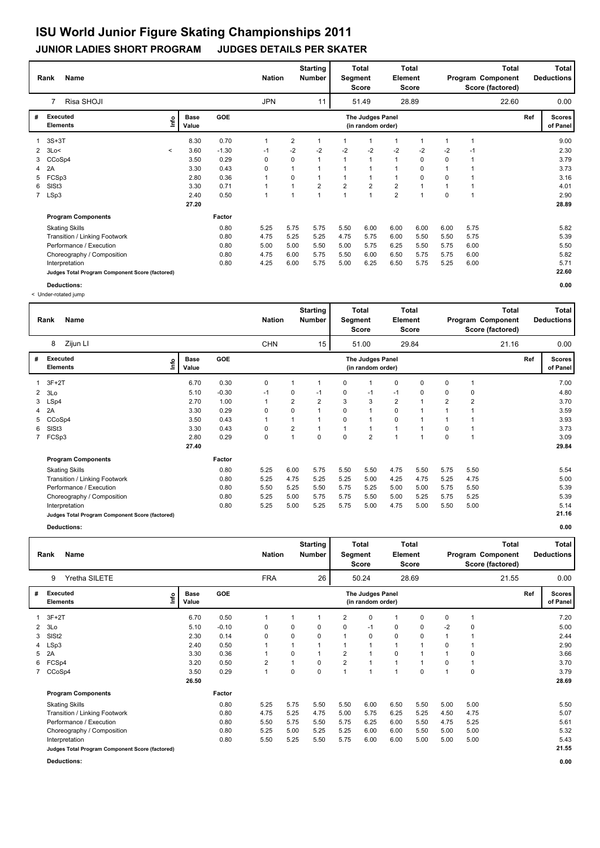## **JUNIOR LADIES SHORT PROGRAM JUDGES DETAILS PER SKATER**

|   | <b>Name</b><br>Rank                             |              |                      |         | <b>Nation</b> |      | <b>Starting</b><br><b>Number</b> | Segment        | <b>Total</b><br>Score                 | Element        | Total<br><b>Score</b> |             |      | Total<br>Program Component<br>Score (factored) |     | Total<br><b>Deductions</b> |
|---|-------------------------------------------------|--------------|----------------------|---------|---------------|------|----------------------------------|----------------|---------------------------------------|----------------|-----------------------|-------------|------|------------------------------------------------|-----|----------------------------|
|   | Risa SHOJI                                      |              |                      |         | <b>JPN</b>    |      | 11                               |                | 51.49                                 |                | 28.89                 |             |      | 22.60                                          |     | 0.00                       |
| # | <b>Executed</b><br><b>Elements</b>              | ١nf٥         | <b>Base</b><br>Value | GOE     |               |      |                                  |                | The Judges Panel<br>(in random order) |                |                       |             |      |                                                | Ref | <b>Scores</b><br>of Panel  |
|   | $3S+3T$                                         |              | 8.30                 | 0.70    | 1             | 2    |                                  |                | $\mathbf 1$                           |                |                       |             |      |                                                |     | 9.00                       |
|   | $2$ $3$ Lo $\le$                                | $\checkmark$ | 3.60                 | $-1.30$ | $-1$          | $-2$ | $-2$                             | $-2$           | $-2$                                  | $-2$           | $-2$                  | $-2$        | $-1$ |                                                |     | 2.30                       |
|   | 3 CCoSp4                                        |              | 3.50                 | 0.29    | 0             | 0    | $\mathbf{1}$                     |                | $\mathbf{1}$                          | $\mathbf{1}$   | 0                     | $\Omega$    |      |                                                |     | 3.79                       |
|   | 4 2A                                            |              | 3.30                 | 0.43    | 0             |      |                                  |                | $\overline{1}$                        |                | 0                     |             |      |                                                |     | 3.73                       |
| 5 | FCSp3                                           |              | 2.80                 | 0.36    | 1             | 0    |                                  |                | $\mathbf 1$                           |                | 0                     | $\mathbf 0$ |      |                                                |     | 3.16                       |
| 6 | SISt <sub>3</sub>                               |              | 3.30                 | 0.71    | 1             |      | $\overline{2}$                   | $\overline{2}$ | $\overline{2}$                        | $\overline{2}$ | и                     |             |      |                                                |     | 4.01                       |
|   | 7 LSp3                                          |              | 2.40                 | 0.50    | 1             |      | $\mathbf{1}$                     |                | $\overline{1}$                        | $\overline{2}$ | 1                     | $\mathbf 0$ |      |                                                |     | 2.90                       |
|   |                                                 |              | 27.20                |         |               |      |                                  |                |                                       |                |                       |             |      |                                                |     | 28.89                      |
|   | <b>Program Components</b>                       |              |                      | Factor  |               |      |                                  |                |                                       |                |                       |             |      |                                                |     |                            |
|   | <b>Skating Skills</b>                           |              |                      | 0.80    | 5.25          | 5.75 | 5.75                             | 5.50           | 6.00                                  | 6.00           | 6.00                  | 6.00        | 5.75 |                                                |     | 5.82                       |
|   | Transition / Linking Footwork                   |              |                      | 0.80    | 4.75          | 5.25 | 5.25                             | 4.75           | 5.75                                  | 6.00           | 5.50                  | 5.50        | 5.75 |                                                |     | 5.39                       |
|   | Performance / Execution                         |              |                      | 0.80    | 5.00          | 5.00 | 5.50                             | 5.00           | 5.75                                  | 6.25           | 5.50                  | 5.75        | 6.00 |                                                |     | 5.50                       |
|   | Choreography / Composition                      |              |                      | 0.80    | 4.75          | 6.00 | 5.75                             | 5.50           | 6.00                                  | 6.50           | 5.75                  | 5.75        | 6.00 |                                                |     | 5.82                       |
|   | Interpretation                                  |              |                      | 0.80    | 4.25          | 6.00 | 5.75                             | 5.00           | 6.25                                  | 6.50           | 5.75                  | 5.25        | 6.00 |                                                |     | 5.71                       |
|   | Judges Total Program Component Score (factored) |              |                      |         |               |      |                                  |                |                                       |                |                       |             |      |                                                |     | 22.60                      |
|   | Deductions:                                     |              |                      |         |               |      |                                  |                |                                       |                |                       |             |      |                                                |     | 0.00                       |

< Under-rotated jump

|   | <b>Name</b><br>Rank                             |                            |            | <b>Nation</b> |                | <b>Starting</b><br><b>Number</b> | Segment  | Total<br>Score                        | Element        | <b>Total</b><br>Score |                |      | <b>Total</b><br>Program Component<br>Score (factored) |     | <b>Total</b><br><b>Deductions</b> |
|---|-------------------------------------------------|----------------------------|------------|---------------|----------------|----------------------------------|----------|---------------------------------------|----------------|-----------------------|----------------|------|-------------------------------------------------------|-----|-----------------------------------|
|   | Zijun LI<br>8                                   |                            |            | <b>CHN</b>    |                | 15                               |          | 51.00                                 |                | 29.84                 |                |      | 21.16                                                 |     | 0.00                              |
| # | Executed<br><b>Elements</b>                     | <b>Base</b><br>۴۵<br>Value | <b>GOE</b> |               |                |                                  |          | The Judges Panel<br>(in random order) |                |                       |                |      |                                                       | Ref | <b>Scores</b><br>of Panel         |
|   | $3F+2T$                                         | 6.70                       | 0.30       | 0             | 1              |                                  | 0        | 1                                     | 0              | 0                     | 0              |      |                                                       |     | 7.00                              |
|   | $2 \quad 3Lo$                                   | 5.10                       | $-0.30$    | $-1$          | 0              | $-1$                             | 0        | $-1$                                  | $-1$           | 0                     | 0              | 0    |                                                       |     | 4.80                              |
| 3 | LSp4                                            | 2.70                       | 1.00       | $\mathbf{1}$  | $\overline{2}$ | $\overline{2}$                   | 3        | 3                                     | $\overline{2}$ | 1                     | $\overline{2}$ | 2    |                                                       |     | 3.70                              |
| 4 | 2A                                              | 3.30                       | 0.29       | 0             | 0              |                                  | 0        | 1                                     | 0              | $\mathbf 1$           |                |      |                                                       |     | 3.59                              |
| 5 | CCoSp4                                          | 3.50                       | 0.43       |               | $\mathbf{1}$   |                                  | $\Omega$ | 1                                     | 0              |                       |                |      |                                                       |     | 3.93                              |
| 6 | SISt <sub>3</sub>                               | 3.30                       | 0.43       | 0             | 2              |                                  | 1        | 1                                     | 1              | $\mathbf 1$           | 0              |      |                                                       |     | 3.73                              |
|   | 7 FCSp3                                         | 2.80                       | 0.29       | $\mathbf 0$   | $\mathbf{1}$   | $\Omega$                         | $\Omega$ | $\overline{2}$                        | $\overline{ }$ |                       | $\Omega$       |      |                                                       |     | 3.09                              |
|   |                                                 | 27.40                      |            |               |                |                                  |          |                                       |                |                       |                |      |                                                       |     | 29.84                             |
|   | <b>Program Components</b>                       |                            | Factor     |               |                |                                  |          |                                       |                |                       |                |      |                                                       |     |                                   |
|   | <b>Skating Skills</b>                           |                            | 0.80       | 5.25          | 6.00           | 5.75                             | 5.50     | 5.50                                  | 4.75           | 5.50                  | 5.75           | 5.50 |                                                       |     | 5.54                              |
|   | Transition / Linking Footwork                   |                            | 0.80       | 5.25          | 4.75           | 5.25                             | 5.25     | 5.00                                  | 4.25           | 4.75                  | 5.25           | 4.75 |                                                       |     | 5.00                              |
|   | Performance / Execution                         |                            | 0.80       | 5.50          | 5.25           | 5.50                             | 5.75     | 5.25                                  | 5.00           | 5.00                  | 5.75           | 5.50 |                                                       |     | 5.39                              |
|   | Choreography / Composition                      |                            | 0.80       | 5.25          | 5.00           | 5.75                             | 5.75     | 5.50                                  | 5.00           | 5.25                  | 5.75           | 5.25 |                                                       |     | 5.39                              |
|   | Interpretation                                  |                            | 0.80       | 5.25          | 5.00           | 5.25                             | 5.75     | 5.00                                  | 4.75           | 5.00                  | 5.50           | 5.00 |                                                       |     | 5.14                              |
|   | Judges Total Program Component Score (factored) |                            |            |               |                |                                  |          |                                       |                |                       |                |      |                                                       |     | 21.16                             |
|   |                                                 |                            |            |               |                |                                  |          |                                       |                |                       |                |      |                                                       |     |                                   |

|   | Name<br>Rank                                    |          |                      |         | <b>Nation</b>  |      | <b>Starting</b><br>Number | Segment        | <b>Total</b><br><b>Score</b>          | <b>Element</b> | <b>Total</b><br>Score |      |      | <b>Total</b><br>Program Component<br>Score (factored) |     | Total<br><b>Deductions</b> |
|---|-------------------------------------------------|----------|----------------------|---------|----------------|------|---------------------------|----------------|---------------------------------------|----------------|-----------------------|------|------|-------------------------------------------------------|-----|----------------------------|
|   | Yretha SILETE<br>9                              |          |                      |         | <b>FRA</b>     |      | 26                        |                | 50.24                                 |                | 28.69                 |      |      | 21.55                                                 |     | 0.00                       |
| # | <b>Executed</b><br><b>Elements</b>              | <b>L</b> | <b>Base</b><br>Value | GOE     |                |      |                           |                | The Judges Panel<br>(in random order) |                |                       |      |      |                                                       | Ref | <b>Scores</b><br>of Panel  |
|   | 3F+2T                                           |          | 6.70                 | 0.50    | $\mathbf{1}$   | 1    |                           | $\overline{2}$ | 0                                     | 1              | $\Omega$              | 0    | 1    |                                                       |     | 7.20                       |
| 2 | 3Lo                                             |          | 5.10                 | $-0.10$ | 0              | 0    | 0                         | 0              | $-1$                                  | 0              | 0                     | $-2$ | 0    |                                                       |     | 5.00                       |
| 3 | SISt <sub>2</sub>                               |          | 2.30                 | 0.14    | 0              | 0    | 0                         |                | 0                                     | 0              | 0                     | 1    |      |                                                       |     | 2.44                       |
| 4 | LSp3                                            |          | 2.40                 | 0.50    | 1              | 1    |                           |                | $\overline{1}$                        | 1              | 1                     | 0    | 1    |                                                       |     | 2.90                       |
| 5 | 2A                                              |          | 3.30                 | 0.36    | 1              | 0    |                           | 2              | 1                                     | 0              |                       |      | 0    |                                                       |     | 3.66                       |
|   | 6 FCSp4                                         |          | 3.20                 | 0.50    | $\overline{2}$ | 1    | 0                         | $\overline{2}$ | 1                                     | 1              | $\overline{1}$        | 0    | 1    |                                                       |     | 3.70                       |
|   | 7 CCoSp4                                        |          | 3.50                 | 0.29    | $\overline{1}$ | 0    | $\Omega$                  | 1              | 1                                     | $\mathbf{1}$   | $\Omega$              | 1    | 0    |                                                       |     | 3.79                       |
|   |                                                 |          | 26.50                |         |                |      |                           |                |                                       |                |                       |      |      |                                                       |     | 28.69                      |
|   | <b>Program Components</b>                       |          |                      | Factor  |                |      |                           |                |                                       |                |                       |      |      |                                                       |     |                            |
|   | <b>Skating Skills</b>                           |          |                      | 0.80    | 5.25           | 5.75 | 5.50                      | 5.50           | 6.00                                  | 6.50           | 5.50                  | 5.00 | 5.00 |                                                       |     | 5.50                       |
|   | Transition / Linking Footwork                   |          |                      | 0.80    | 4.75           | 5.25 | 4.75                      | 5.00           | 5.75                                  | 6.25           | 5.25                  | 4.50 | 4.75 |                                                       |     | 5.07                       |
|   | Performance / Execution                         |          |                      | 0.80    | 5.50           | 5.75 | 5.50                      | 5.75           | 6.25                                  | 6.00           | 5.50                  | 4.75 | 5.25 |                                                       |     | 5.61                       |
|   | Choreography / Composition                      |          |                      | 0.80    | 5.25           | 5.00 | 5.25                      | 5.25           | 6.00                                  | 6.00           | 5.50                  | 5.00 | 5.00 |                                                       |     | 5.32                       |
|   | Interpretation                                  |          |                      | 0.80    | 5.50           | 5.25 | 5.50                      | 5.75           | 6.00                                  | 6.00           | 5.00                  | 5.00 | 5.00 |                                                       |     | 5.43                       |
|   | Judges Total Program Component Score (factored) |          |                      |         |                |      |                           |                |                                       |                |                       |      |      |                                                       |     | 21.55                      |
|   | Deductions:                                     |          |                      |         |                |      |                           |                |                                       |                |                       |      |      |                                                       |     | 0.00                       |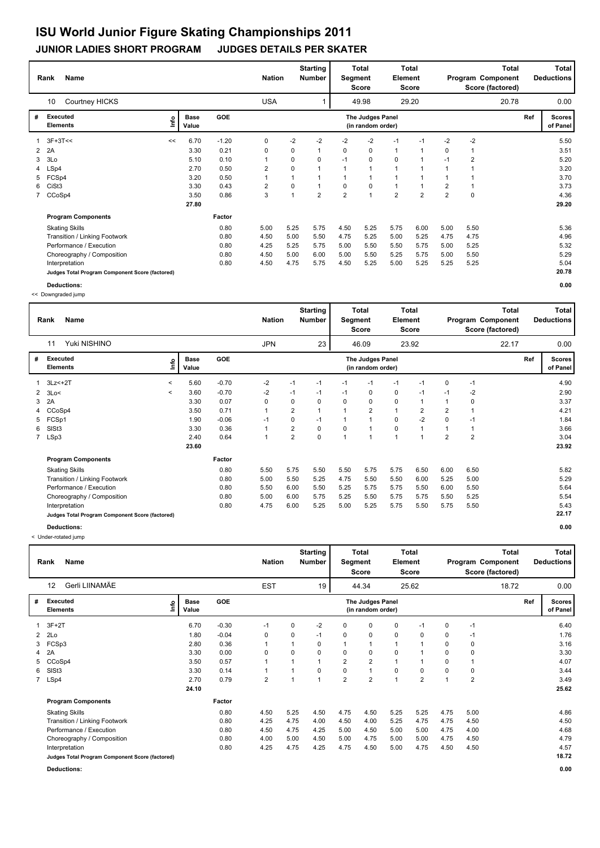### **JUNIOR LADIES SHORT PROGRAM JUDGES DETAILS PER SKATER**

|    | <b>Name</b><br>Rank                             |      |                      |            | <b>Nation</b>  |      | <b>Starting</b><br><b>Number</b> | Segment        | <b>Total</b><br><b>Score</b>          | Element        | Total<br><b>Score</b> |                |                | <b>Total</b><br>Program Component<br>Score (factored) |     | Total<br><b>Deductions</b> |
|----|-------------------------------------------------|------|----------------------|------------|----------------|------|----------------------------------|----------------|---------------------------------------|----------------|-----------------------|----------------|----------------|-------------------------------------------------------|-----|----------------------------|
|    | Courtney HICKS<br>10                            |      |                      |            | <b>USA</b>     |      |                                  |                | 49.98                                 |                | 29.20                 |                |                | 20.78                                                 |     | 0.00                       |
| #  | Executed<br><b>Elements</b>                     | ١nfo | <b>Base</b><br>Value | <b>GOE</b> |                |      |                                  |                | The Judges Panel<br>(in random order) |                |                       |                |                |                                                       | Ref | <b>Scores</b><br>of Panel  |
|    | $1.3F+3T<<$                                     | <<   | 6.70                 | $-1.20$    | 0              | $-2$ | $-2$                             | $-2$           | $-2$                                  | $-1$           | $-1$                  | $-2$           | $-2$           |                                                       |     | 5.50                       |
| 2  | 2A                                              |      | 3.30                 | 0.21       | 0              | 0    | 1                                | 0              | 0                                     | $\mathbf{1}$   | $\mathbf 1$           | 0              |                |                                                       |     | 3.51                       |
| 3  | 3Lo                                             |      | 5.10                 | 0.10       | 1              | 0    | 0                                | $-1$           | 0                                     | 0              | 1                     | $-1$           | $\overline{2}$ |                                                       |     | 5.20                       |
|    | 4 LSp4                                          |      | 2.70                 | 0.50       | $\overline{2}$ | 0    |                                  | $\mathbf{1}$   | $\mathbf{1}$                          | $\overline{1}$ |                       | $\overline{1}$ |                |                                                       |     | 3.20                       |
| 5. | FCSp4                                           |      | 3.20                 | 0.50       | 1              |      |                                  |                | -1                                    |                |                       |                |                |                                                       |     | 3.70                       |
| 6. | CiSt3                                           |      | 3.30                 | 0.43       | 2              | 0    |                                  | 0              | 0                                     | 1              |                       | $\overline{2}$ |                |                                                       |     | 3.73                       |
|    | 7 CCoSp4                                        |      | 3.50                 | 0.86       | 3              |      | $\overline{2}$                   | $\overline{2}$ | $\overline{1}$                        | $\overline{2}$ | $\overline{2}$        | $\overline{2}$ | $\mathbf 0$    |                                                       |     | 4.36                       |
|    |                                                 |      | 27.80                |            |                |      |                                  |                |                                       |                |                       |                |                |                                                       |     | 29.20                      |
|    | <b>Program Components</b>                       |      |                      | Factor     |                |      |                                  |                |                                       |                |                       |                |                |                                                       |     |                            |
|    | <b>Skating Skills</b>                           |      |                      | 0.80       | 5.00           | 5.25 | 5.75                             | 4.50           | 5.25                                  | 5.75           | 6.00                  | 5.00           | 5.50           |                                                       |     | 5.36                       |
|    | Transition / Linking Footwork                   |      |                      | 0.80       | 4.50           | 5.00 | 5.50                             | 4.75           | 5.25                                  | 5.00           | 5.25                  | 4.75           | 4.75           |                                                       |     | 4.96                       |
|    | Performance / Execution                         |      |                      | 0.80       | 4.25           | 5.25 | 5.75                             | 5.00           | 5.50                                  | 5.50           | 5.75                  | 5.00           | 5.25           |                                                       |     | 5.32                       |
|    | Choreography / Composition                      |      |                      | 0.80       | 4.50           | 5.00 | 6.00                             | 5.00           | 5.50                                  | 5.25           | 5.75                  | 5.00           | 5.50           |                                                       |     | 5.29                       |
|    | Interpretation                                  |      |                      | 0.80       | 4.50           | 4.75 | 5.75                             | 4.50           | 5.25                                  | 5.00           | 5.25                  | 5.25           | 5.25           |                                                       |     | 5.04                       |
|    | Judges Total Program Component Score (factored) |      |                      |            |                |      |                                  |                |                                       |                |                       |                |                |                                                       |     | 20.78                      |
|    | Deductions:                                     |      |                      |            |                |      |                                  |                |                                       |                |                       |                |                |                                                       |     | 0.00                       |

<< Downgraded jump

|   | <b>Name</b><br>Rank                             |         |                      |            | <b>Nation</b> |                | <b>Starting</b><br><b>Number</b> | Segment      | <b>Total</b><br><b>Score</b>          | Element        | Total<br>Score |          |                | <b>Total</b><br>Program Component<br>Score (factored) |     | <b>Total</b><br><b>Deductions</b> |
|---|-------------------------------------------------|---------|----------------------|------------|---------------|----------------|----------------------------------|--------------|---------------------------------------|----------------|----------------|----------|----------------|-------------------------------------------------------|-----|-----------------------------------|
|   | Yuki NISHINO<br>11                              |         |                      |            | <b>JPN</b>    |                | 23                               |              | 46.09                                 |                | 23.92          |          |                | 22.17                                                 |     | 0.00                              |
| # | Executed<br><b>Elements</b>                     | lnfo    | <b>Base</b><br>Value | <b>GOE</b> |               |                |                                  |              | The Judges Panel<br>(in random order) |                |                |          |                |                                                       | Ref | <b>Scores</b><br>of Panel         |
|   | $3Lz<+2T$                                       | $\prec$ | 5.60                 | $-0.70$    | $-2$          | $-1$           | $-1$                             | $-1$         | $-1$                                  | $-1$           | $-1$           | 0        | $-1$           |                                                       |     | 4.90                              |
|   | $2$ 3Lo<                                        | $\,<$   | 3.60                 | $-0.70$    | $-2$          | $-1$           | $-1$                             | $-1$         | 0                                     | 0              | $-1$           | $-1$     | $-2$           |                                                       |     | 2.90                              |
| 3 | 2A                                              |         | 3.30                 | 0.07       | 0             | $\mathbf 0$    | 0                                | $\Omega$     | 0                                     | $\mathbf 0$    | 1              |          | 0              |                                                       |     | 3.37                              |
|   | 4 CCoSp4                                        |         | 3.50                 | 0.71       |               | $\overline{2}$ |                                  |              | 2                                     |                | 2              | 2        |                |                                                       |     | 4.21                              |
| 5 | FCSp1                                           |         | 1.90                 | $-0.06$    | $-1$          | 0              | $-1$                             | $\mathbf 1$  |                                       | 0              | $-2$           | $\Omega$ | $-1$           |                                                       |     | 1.84                              |
| 6 | SISt <sub>3</sub>                               |         | 3.30                 | 0.36       | $\mathbf{1}$  | $\overline{2}$ | $\mathbf 0$                      | $\Omega$     |                                       | $\mathbf 0$    | $\mathbf{1}$   |          |                |                                                       |     | 3.66                              |
|   | 7 LSp3                                          |         | 2.40                 | 0.64       | $\mathbf{1}$  | $\overline{2}$ | 0                                | $\mathbf{1}$ | 1                                     | $\overline{1}$ | $\overline{ }$ | 2        | $\overline{2}$ |                                                       |     | 3.04                              |
|   |                                                 |         | 23.60                |            |               |                |                                  |              |                                       |                |                |          |                |                                                       |     | 23.92                             |
|   | <b>Program Components</b>                       |         |                      | Factor     |               |                |                                  |              |                                       |                |                |          |                |                                                       |     |                                   |
|   | <b>Skating Skills</b>                           |         |                      | 0.80       | 5.50          | 5.75           | 5.50                             | 5.50         | 5.75                                  | 5.75           | 6.50           | 6.00     | 6.50           |                                                       |     | 5.82                              |
|   | Transition / Linking Footwork                   |         |                      | 0.80       | 5.00          | 5.50           | 5.25                             | 4.75         | 5.50                                  | 5.50           | 6.00           | 5.25     | 5.00           |                                                       |     | 5.29                              |
|   | Performance / Execution                         |         |                      | 0.80       | 5.50          | 6.00           | 5.50                             | 5.25         | 5.75                                  | 5.75           | 5.50           | 6.00     | 5.50           |                                                       |     | 5.64                              |
|   | Choreography / Composition                      |         |                      | 0.80       | 5.00          | 6.00           | 5.75                             | 5.25         | 5.50                                  | 5.75           | 5.75           | 5.50     | 5.25           |                                                       |     | 5.54                              |
|   | Interpretation                                  |         |                      | 0.80       | 4.75          | 6.00           | 5.25                             | 5.00         | 5.25                                  | 5.75           | 5.50           | 5.75     | 5.50           |                                                       |     | 5.43                              |
|   | Judges Total Program Component Score (factored) |         |                      |            |               |                |                                  |              |                                       |                |                |          |                |                                                       |     | 22.17                             |
|   | <b>Deductions:</b>                              |         |                      |            |               |                |                                  |              |                                       |                |                |          |                |                                                       |     | 0.00                              |

|              | <b>Name</b><br>Rank                             |                              |            | <b>Nation</b>  |      | <b>Starting</b><br><b>Number</b> | Segment        | <b>Total</b><br>Score                 | Element        | <b>Total</b><br><b>Score</b> |                |                | Total<br>Program Component<br>Score (factored) |     | Total<br><b>Deductions</b> |
|--------------|-------------------------------------------------|------------------------------|------------|----------------|------|----------------------------------|----------------|---------------------------------------|----------------|------------------------------|----------------|----------------|------------------------------------------------|-----|----------------------------|
|              | Gerli LIINAMÄE<br>12                            |                              |            | <b>EST</b>     |      | 19                               |                | 44.34                                 |                | 25.62                        |                |                | 18.72                                          |     | 0.00                       |
| #            | Executed<br><b>Elements</b>                     | <b>Base</b><br>١nf٥<br>Value | <b>GOE</b> |                |      |                                  |                | The Judges Panel<br>(in random order) |                |                              |                |                |                                                | Ref | <b>Scores</b><br>of Panel  |
| $\mathbf{1}$ | $3F+2T$                                         | 6.70                         | $-0.30$    | $-1$           | 0    | $-2$                             | 0              | 0                                     | 0              | $-1$                         | 0              | $-1$           |                                                |     | 6.40                       |
|              | $2 \quad 2Lo$                                   | 1.80                         | $-0.04$    | 0              | 0    | $-1$                             | 0              | 0                                     | 0              | 0                            | 0              | $-1$           |                                                |     | 1.76                       |
|              | 3 FCSp3                                         | 2.80                         | 0.36       | 1              | 1    | 0                                | 1              | $\mathbf{1}$                          | $\mathbf{1}$   |                              | 0              | 0              |                                                |     | 3.16                       |
|              | 4 2A                                            | 3.30                         | 0.00       | 0              | 0    | 0                                | 0              | 0                                     | $\mathbf 0$    |                              | $\Omega$       | 0              |                                                |     | 3.30                       |
| 5            | CCoSp4                                          | 3.50                         | 0.57       | 1              |      |                                  | 2              | $\overline{2}$                        | $\mathbf{1}$   |                              | $\Omega$       |                |                                                |     | 4.07                       |
| 6            | SISt <sub>3</sub>                               | 3.30                         | 0.14       | 1              |      | 0                                | 0              | $\overline{1}$                        | 0              | 0                            | $\Omega$       | 0              |                                                |     | 3.44                       |
|              | 7 LSp4                                          | 2.70                         | 0.79       | $\overline{2}$ |      | 1                                | $\overline{2}$ | $\overline{2}$                        | $\overline{1}$ | $\overline{2}$               | $\overline{ }$ | $\overline{2}$ |                                                |     | 3.49                       |
|              |                                                 | 24.10                        |            |                |      |                                  |                |                                       |                |                              |                |                |                                                |     | 25.62                      |
|              | <b>Program Components</b>                       |                              | Factor     |                |      |                                  |                |                                       |                |                              |                |                |                                                |     |                            |
|              | <b>Skating Skills</b>                           |                              | 0.80       | 4.50           | 5.25 | 4.50                             | 4.75           | 4.50                                  | 5.25           | 5.25                         | 4.75           | 5.00           |                                                |     | 4.86                       |
|              | Transition / Linking Footwork                   |                              | 0.80       | 4.25           | 4.75 | 4.00                             | 4.50           | 4.00                                  | 5.25           | 4.75                         | 4.75           | 4.50           |                                                |     | 4.50                       |
|              | Performance / Execution                         |                              | 0.80       | 4.50           | 4.75 | 4.25                             | 5.00           | 4.50                                  | 5.00           | 5.00                         | 4.75           | 4.00           |                                                |     | 4.68                       |
|              | Choreography / Composition                      |                              | 0.80       | 4.00           | 5.00 | 4.50                             | 5.00           | 4.75                                  | 5.00           | 5.00                         | 4.75           | 4.50           |                                                |     | 4.79                       |
|              | Interpretation                                  |                              | 0.80       | 4.25           | 4.75 | 4.25                             | 4.75           | 4.50                                  | 5.00           | 4.75                         | 4.50           | 4.50           |                                                |     | 4.57                       |
|              | Judges Total Program Component Score (factored) |                              |            |                |      |                                  |                |                                       |                |                              |                |                |                                                |     | 18.72                      |
|              | Deductions:                                     |                              |            |                |      |                                  |                |                                       |                |                              |                |                |                                                |     | 0.00                       |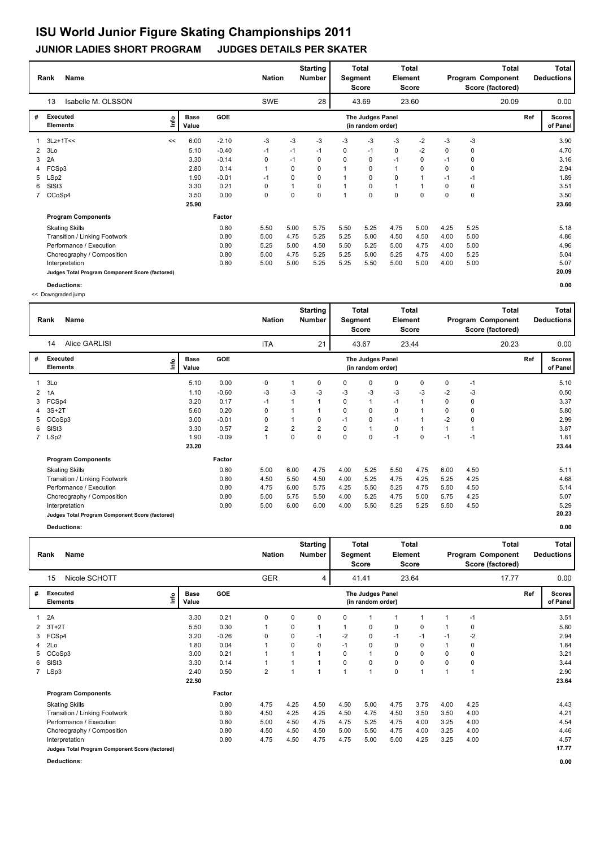#### **Rank Name Total Nation** Number | Segment Element Program Component Deductions **Total Segment Score Total Element Score Total Score (factored) Starting Number** Isabelle M. OLSSON 6-10 23.60 23.60 **# Executed Elements Base Value GOE Scores The Judges Panel of Panel** 1 6.00 -2.10 -3 -3 -3 -3 -3 -3 -2 -3 -3 **Ref**  3.90 13 **(in random order)** 20.09 3Lz+1T<< <<**Info** 28 | 43.69 23.60 20.09 0.00 2 3Lo 5.10 -0.40 -1 -1 -1 0 -1 0 -2 0 0 4.70 3 2A 3.30 -0.14 0 -1 0 0 0 -1 0 -1 0 3.16 4 FCSp3 2.80 0.14 1 0 0 1 0 1 0 0 0 2.94 5 LSp2 1.90 -0.01 -1 0 0 1 0 0 1 -1 -1 1.89 6 SlSt3 3.30 0.21 0 1 0 1 0 1 1 0 0 3.51 7 CCoSp4 3.50 0.00 0 0 0 1 0 0 0 0 0 3.50  **25.90 Program Components**  Skating Skills 5.50 5.00 5.75 5.50 5.25 4.75 5.00 4.25 5.25 **Factor** 0.80 5.50 5.00 5.75 5.50 5.25 4.75 5.00 4.25 5.25 5.18 5.18  **23.60** Transition / Linking Footwork 0.80 5.00 4.75 5.25 5.25 5.00 4.50 4.50 4.00 5.00 4.86 Performance / Execution 10.80 5.25 5.00 4.50 5.50 5.25 5.00 4.75 4.00 5.00 5.00 4.96<br>Choreography / Composition 10.80 5.00 4.75 5.25 5.25 5.00 5.25 4.75 4.00 5.25 5.04 5.04 Choreography / Composition 0.80 5.00 4.75 5.25 5.25 5.00 5.25 4.75 4.00 5.25 5.04 5.04<br>
Interpretation 0.80 5.00 5.00 5.25 5.25 5.50 5.00 4.00 5.00 5.00 5.07 5.07 Interpretation 0.80 5.00 5.00 5.25 5.25 5.50 5.00 5.00 4.00 5.00 5.07 **Judges Total Program Component Score (factored) 20.09**

**Deductions: 0.00**

<< Downgraded jump

|              | <b>Name</b><br>Rank                             |                              |         | <b>Nation</b> |      | <b>Starting</b><br>Number | Segment  | <b>Total</b><br><b>Score</b>          | Element | Total<br>Score |      |      | <b>Total</b><br>Program Component<br>Score (factored) |     | <b>Total</b><br><b>Deductions</b> |
|--------------|-------------------------------------------------|------------------------------|---------|---------------|------|---------------------------|----------|---------------------------------------|---------|----------------|------|------|-------------------------------------------------------|-----|-----------------------------------|
|              | Alice GARLISI<br>14                             |                              |         | <b>ITA</b>    |      | 21                        |          | 43.67                                 |         | 23.44          |      |      | 20.23                                                 |     | 0.00                              |
| #            | <b>Executed</b><br><b>Elements</b>              | <b>Base</b><br>١nf٥<br>Value | GOE     |               |      |                           |          | The Judges Panel<br>(in random order) |         |                |      |      |                                                       | Ref | <b>Scores</b><br>of Panel         |
|              | 3Lo                                             | 5.10                         | 0.00    | 0             | 1    | 0                         | 0        | 0                                     | 0       | 0              | 0    | $-1$ |                                                       |     | 5.10                              |
| $\mathbf{2}$ | 1A                                              | 1.10                         | $-0.60$ | -3            | $-3$ | -3                        | -3       | -3                                    | $-3$    | -3             | -2   | -3   |                                                       |     | 0.50                              |
| 3            | FCSp4                                           | 3.20                         | 0.17    | $-1$          |      |                           | 0        |                                       | $-1$    |                | 0    | 0    |                                                       |     | 3.37                              |
|              | $3S+2T$                                         | 5.60                         | 0.20    | 0             |      |                           | 0        | 0                                     | 0       |                | 0    | 0    |                                                       |     | 5.80                              |
|              | CCoSp3                                          | 3.00                         | $-0.01$ | 0             | 1    | 0                         | $-1$     | 0                                     | $-1$    |                | $-2$ | 0    |                                                       |     | 2.99                              |
| 6            | SISt <sub>3</sub>                               | 3.30                         | 0.57    | 2             | 2    | $\overline{2}$            | $\Omega$ | 1                                     | 0       | 1              |      |      |                                                       |     | 3.87                              |
|              | 7 LSp2                                          | 1.90                         | $-0.09$ | $\mathbf{1}$  | 0    | 0                         | $\Omega$ | $\Omega$                              | $-1$    | 0              | $-1$ | $-1$ |                                                       |     | 1.81                              |
|              |                                                 | 23.20                        |         |               |      |                           |          |                                       |         |                |      |      |                                                       |     | 23.44                             |
|              | <b>Program Components</b>                       |                              | Factor  |               |      |                           |          |                                       |         |                |      |      |                                                       |     |                                   |
|              | <b>Skating Skills</b>                           |                              | 0.80    | 5.00          | 6.00 | 4.75                      | 4.00     | 5.25                                  | 5.50    | 4.75           | 6.00 | 4.50 |                                                       |     | 5.11                              |
|              | Transition / Linking Footwork                   |                              | 0.80    | 4.50          | 5.50 | 4.50                      | 4.00     | 5.25                                  | 4.75    | 4.25           | 5.25 | 4.25 |                                                       |     | 4.68                              |
|              | Performance / Execution                         |                              | 0.80    | 4.75          | 6.00 | 5.75                      | 4.25     | 5.50                                  | 5.25    | 4.75           | 5.50 | 4.50 |                                                       |     | 5.14                              |
|              | Choreography / Composition                      |                              | 0.80    | 5.00          | 5.75 | 5.50                      | 4.00     | 5.25                                  | 4.75    | 5.00           | 5.75 | 4.25 |                                                       |     | 5.07                              |
|              | Interpretation                                  |                              | 0.80    | 5.00          | 6.00 | 6.00                      | 4.00     | 5.50                                  | 5.25    | 5.25           | 5.50 | 4.50 |                                                       |     | 5.29                              |
|              | Judges Total Program Component Score (factored) |                              |         |               |      |                           |          |                                       |         |                |      |      |                                                       |     | 20.23                             |
|              |                                                 |                              |         |               |      |                           |          |                                       |         |                |      |      |                                                       |     |                                   |

|    | Rank<br>Name                                    |      |                      |            |                | <b>Nation</b> |                | <b>Starting</b><br><b>Number</b> | Segment  | Total<br>Score                        | Element | Total<br>Score |      |      | <b>Total</b><br>Program Component<br>Score (factored) |     | Total<br><b>Deductions</b> |
|----|-------------------------------------------------|------|----------------------|------------|----------------|---------------|----------------|----------------------------------|----------|---------------------------------------|---------|----------------|------|------|-------------------------------------------------------|-----|----------------------------|
|    | Nicole SCHOTT<br>15                             |      |                      |            |                | <b>GER</b>    |                | 4                                |          | 41.41                                 |         | 23.64          |      |      | 17.77                                                 |     | 0.00                       |
| #  | <b>Executed</b><br><b>Elements</b>              | ١nfo | <b>Base</b><br>Value | <b>GOE</b> |                |               |                |                                  |          | The Judges Panel<br>(in random order) |         |                |      |      |                                                       | Ref | <b>Scores</b><br>of Panel  |
| 1  | 2A                                              |      | 3.30                 | 0.21       | 0              |               | 0              | 0                                | 0        |                                       | 1       | 1              |      | $-1$ |                                                       |     | 3.51                       |
| 2  | $3T+2T$                                         |      | 5.50                 | 0.30       | $\mathbf 1$    |               | 0              |                                  |          | 0                                     | 0       | 0              |      | 0    |                                                       |     | 5.80                       |
| 3  | FCSp4                                           |      | 3.20                 | $-0.26$    | 0              |               | 0              | $-1$                             | $-2$     | 0                                     | $-1$    | $-1$           | $-1$ | $-2$ |                                                       |     | 2.94                       |
|    | 4 2Lo                                           |      | 1.80                 | 0.04       | $\overline{ }$ |               | 0              | $\Omega$                         | $-1$     | $\mathbf 0$                           | 0       | 0              |      | 0    |                                                       |     | 1.84                       |
| 5. | CCoSp3                                          |      | 3.00                 | 0.21       |                |               |                |                                  | 0        |                                       | 0       | 0              | 0    | 0    |                                                       |     | 3.21                       |
| 6  | SISt3                                           |      | 3.30                 | 0.14       | $\mathbf{1}$   |               | 1              |                                  | $\Omega$ | 0                                     | 0       | 0              | 0    | 0    |                                                       |     | 3.44                       |
|    | 7 LSp3                                          |      | 2.40                 | 0.50       | $\overline{2}$ |               | $\overline{ }$ |                                  |          | $\overline{1}$                        | 0       | 1              |      | и    |                                                       |     | 2.90                       |
|    |                                                 |      | 22.50                |            |                |               |                |                                  |          |                                       |         |                |      |      |                                                       |     | 23.64                      |
|    | <b>Program Components</b>                       |      |                      | Factor     |                |               |                |                                  |          |                                       |         |                |      |      |                                                       |     |                            |
|    | <b>Skating Skills</b>                           |      |                      | 0.80       | 4.75           |               | 4.25           | 4.50                             | 4.50     | 5.00                                  | 4.75    | 3.75           | 4.00 | 4.25 |                                                       |     | 4.43                       |
|    | Transition / Linking Footwork                   |      |                      | 0.80       | 4.50           |               | 4.25           | 4.25                             | 4.50     | 4.75                                  | 4.50    | 3.50           | 3.50 | 4.00 |                                                       |     | 4.21                       |
|    | Performance / Execution                         |      |                      | 0.80       | 5.00           |               | 4.50           | 4.75                             | 4.75     | 5.25                                  | 4.75    | 4.00           | 3.25 | 4.00 |                                                       |     | 4.54                       |
|    | Choreography / Composition                      |      |                      | 0.80       | 4.50           |               | 4.50           | 4.50                             | 5.00     | 5.50                                  | 4.75    | 4.00           | 3.25 | 4.00 |                                                       |     | 4.46                       |
|    | Interpretation                                  |      |                      | 0.80       | 4.75           |               | 4.50           | 4.75                             | 4.75     | 5.00                                  | 5.00    | 4.25           | 3.25 | 4.00 |                                                       |     | 4.57                       |
|    | Judges Total Program Component Score (factored) |      |                      |            |                |               |                |                                  |          |                                       |         |                |      |      |                                                       |     | 17.77                      |
|    | Deductions:                                     |      |                      |            |                |               |                |                                  |          |                                       |         |                |      |      |                                                       |     | 0.00                       |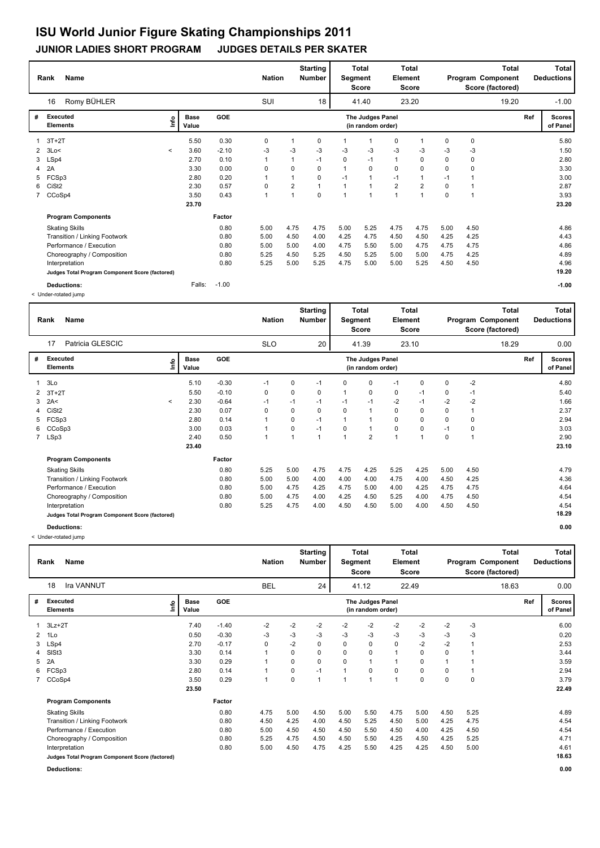#### **Rank Name Total Nation** Number | Segment Element Program Component Deductions **Total Segment Score Total Element Score Total Score (factored) Starting Number** Romy BÜHLER 32.20 **# Executed Elements Base Value GOE Scores The Judges Panel of Panel** 1 3T+2T 5.50 0.30 0 1 0 1 0 0 **Ref**  5.80 16 **(in random order)** 19.20 3T+2T **Info** 18 41.40 23.20 19.20 -1.00 2 3Lo< < 3.60 -2.10 -3 -3 -3 -3 -3 -3 -3 -3 -3 1.50 3 LSp4 2.70 0.10 1 1 -1 0 -1 1 0 0 0 2.80 4 2A 3.30 0.00 0 0 0 1 0 0 0 0 0 3.30 5 FCSp3 2.80 0.20 1 1 0 -1 1 -1 1 -1 1 3.00 6 CiSt2 2.30 0.57 0 2 1 1 1 2 2 0 1 2.87 7 CCoSp4 3.50 0.43 1 1 0 1 1 3.93  **23.70 Program Components**  Skating Skills 5.00 4.75 4.75 5.00 5.25 4.75 4.75 5.00 4.50 **Factor** 0.80 4.86  **23.20** Transition / Linking Footwork 0.80 5.00 4.50 4.00 4.25 4.75 4.50 4.50 4.25 4.25 4.43 Performance / Execution 10.80 5.00 5.00 5.00 4.00 4.75 5.50 5.00 4.75 4.75 4.75 4.75 4.86<br>Choreography / Composition 10.80 5.25 4.50 5.25 4.50 5.25 5.00 5.00 4.75 4.25 4.89 Choreography / Composition 0.80 5.25 4.50 5.25 4.50 5.25 5.00 5.00 4.75 4.25 4.89<br>
1.080 5.25 4.75 5.00 5.25 4.75 5.00 5.25 4.50 4.50 4.96 Interpretation 0.80 5.25 5.00 5.25 4.75 5.00 5.00 5.25 4.50 4.50 4.96 **Judges Total Program Component Score (factored) 19.20 Deductions:** Falls: -1.00 **-1.00**

|    | <b>Name</b><br>Rank                             |                          |                      |         | <b>Nation</b> |              | <b>Starting</b><br><b>Number</b> | Segment  | <b>Total</b><br>Score                 | Element | Total<br>Score |      |             | Total<br>Program Component<br>Score (factored) |     | <b>Total</b><br><b>Deductions</b> |
|----|-------------------------------------------------|--------------------------|----------------------|---------|---------------|--------------|----------------------------------|----------|---------------------------------------|---------|----------------|------|-------------|------------------------------------------------|-----|-----------------------------------|
|    | Patricia GLESCIC<br>17                          |                          |                      |         | <b>SLO</b>    |              | 20                               |          | 41.39                                 |         | 23.10          |      |             | 18.29                                          |     | 0.00                              |
| #  | Executed<br><b>Elements</b>                     | ۴۵                       | <b>Base</b><br>Value | GOE     |               |              |                                  |          | The Judges Panel<br>(in random order) |         |                |      |             |                                                | Ref | <b>Scores</b><br>of Panel         |
|    | 3Lo                                             |                          | 5.10                 | $-0.30$ | $-1$          | 0            | $-1$                             | $\Omega$ | 0                                     | $-1$    | $\Omega$       | 0    | $-2$        |                                                |     | 4.80                              |
| 2  | $3T+2T$                                         |                          | 5.50                 | $-0.10$ | 0             | 0            | 0                                | -1       | 0                                     | 0       | $-1$           | 0    | $-1$        |                                                |     | 5.40                              |
| 3  | 2A<                                             | $\overline{\phantom{a}}$ | 2.30                 | $-0.64$ | $-1$          | $-1$         | $-1$                             | $-1$     | $-1$                                  | $-2$    | $-1$           | $-2$ | $-2$        |                                                |     | 1.66                              |
|    | CiSt <sub>2</sub>                               |                          | 2.30                 | 0.07    | $\Omega$      | 0            | $\Omega$                         | $\Omega$ | $\overline{1}$                        | 0       | 0              | 0    | $\mathbf 1$ |                                                |     | 2.37                              |
| 5. | FCSp3                                           |                          | 2.80                 | 0.14    |               | 0            | $-1$                             |          | $\overline{1}$                        | 0       | 0              | 0    | 0           |                                                |     | 2.94                              |
| 6  | CCoSp3                                          |                          | 3.00                 | 0.03    |               | 0            | $-1$                             | 0        | $\overline{1}$                        | 0       | 0              | $-1$ | 0           |                                                |     | 3.03                              |
|    | 7 LSp3                                          |                          | 2.40                 | 0.50    |               | $\mathbf{1}$ | $\mathbf{1}$                     | 1        | $\overline{2}$                        | 1       |                | 0    |             |                                                |     | 2.90                              |
|    |                                                 |                          | 23.40                |         |               |              |                                  |          |                                       |         |                |      |             |                                                |     | 23.10                             |
|    | <b>Program Components</b>                       |                          |                      | Factor  |               |              |                                  |          |                                       |         |                |      |             |                                                |     |                                   |
|    | <b>Skating Skills</b>                           |                          |                      | 0.80    | 5.25          | 5.00         | 4.75                             | 4.75     | 4.25                                  | 5.25    | 4.25           | 5.00 | 4.50        |                                                |     | 4.79                              |
|    | Transition / Linking Footwork                   |                          |                      | 0.80    | 5.00          | 5.00         | 4.00                             | 4.00     | 4.00                                  | 4.75    | 4.00           | 4.50 | 4.25        |                                                |     | 4.36                              |
|    | Performance / Execution                         |                          |                      | 0.80    | 5.00          | 4.75         | 4.25                             | 4.75     | 5.00                                  | 4.00    | 4.25           | 4.75 | 4.75        |                                                |     | 4.64                              |
|    | Choreography / Composition                      |                          |                      | 0.80    | 5.00          | 4.75         | 4.00                             | 4.25     | 4.50                                  | 5.25    | 4.00           | 4.75 | 4.50        |                                                |     | 4.54                              |
|    | Interpretation                                  |                          |                      | 0.80    | 5.25          | 4.75         | 4.00                             | 4.50     | 4.50                                  | 5.00    | 4.00           | 4.50 | 4.50        |                                                |     | 4.54                              |
|    | Judges Total Program Component Score (factored) |                          |                      |         |               |              |                                  |          |                                       |         |                |      |             |                                                |     | 18.29                             |
|    | Deductions:                                     |                          |                      |         |               |              |                                  |          |                                       |         |                |      |             |                                                |     | 0.00                              |

 <sup>&</sup>lt; Under-rotated jump

|                | Name<br>Rank                                    |                              |            | <b>Nation</b> |      | <b>Starting</b><br>Number | Segment                 | <b>Total</b><br>Score                 | Element        | Total<br><b>Score</b> |             |             | Total<br>Program Component<br>Score (factored) |     | Total<br><b>Deductions</b> |
|----------------|-------------------------------------------------|------------------------------|------------|---------------|------|---------------------------|-------------------------|---------------------------------------|----------------|-----------------------|-------------|-------------|------------------------------------------------|-----|----------------------------|
|                | <b>Ira VANNUT</b><br>18                         |                              |            | <b>BEL</b>    |      | 24                        |                         | 41.12                                 |                | 22.49                 |             |             | 18.63                                          |     | 0.00                       |
| #              | <b>Executed</b><br><b>Elements</b>              | <b>Base</b><br>Lnfo<br>Value | <b>GOE</b> |               |      |                           |                         | The Judges Panel<br>(in random order) |                |                       |             |             |                                                | Ref | <b>Scores</b><br>of Panel  |
|                | $3Lz + 2T$                                      | 7.40                         | $-1.40$    | $-2$          | $-2$ | $-2$                      | $-2$                    | $-2$                                  | $-2$           | $-2$                  | $-2$        | $-3$        |                                                |     | 6.00                       |
| $\overline{2}$ | 1Lo                                             | 0.50                         | $-0.30$    | -3            | -3   | $-3$                      | $-3$                    | $-3$                                  | $-3$           | $-3$                  | $-3$        | $-3$        |                                                |     | 0.20                       |
| 3              | LSp4                                            | 2.70                         | $-0.17$    | 0             | $-2$ | 0                         | 0                       | 0                                     | $\mathbf 0$    | $-2$                  | $-2$        |             |                                                |     | 2.53                       |
| 4              | SISt <sub>3</sub>                               | 3.30                         | 0.14       |               | 0    | 0                         | $\Omega$                | $\mathbf 0$                           |                | $\Omega$              | $\mathbf 0$ |             |                                                |     | 3.44                       |
| 5              | 2A                                              | 3.30                         | 0.29       |               | 0    | 0                         | $\Omega$                |                                       |                | 0                     |             |             |                                                |     | 3.59                       |
| 6              | FCSp3                                           | 2.80                         | 0.14       |               | 0    | $-1$                      | $\overline{A}$          | 0                                     | $\mathbf 0$    | 0                     | 0           |             |                                                |     | 2.94                       |
|                | CCoSp4                                          | 3.50                         | 0.29       | 1             | 0    | $\overline{1}$            | $\overline{\mathbf{A}}$ | $\overline{1}$                        | $\overline{1}$ | 0                     | $\mathbf 0$ | $\mathbf 0$ |                                                |     | 3.79                       |
|                |                                                 | 23.50                        |            |               |      |                           |                         |                                       |                |                       |             |             |                                                |     | 22.49                      |
|                | <b>Program Components</b>                       |                              | Factor     |               |      |                           |                         |                                       |                |                       |             |             |                                                |     |                            |
|                | <b>Skating Skills</b>                           |                              | 0.80       | 4.75          | 5.00 | 4.50                      | 5.00                    | 5.50                                  | 4.75           | 5.00                  | 4.50        | 5.25        |                                                |     | 4.89                       |
|                | Transition / Linking Footwork                   |                              | 0.80       | 4.50          | 4.25 | 4.00                      | 4.50                    | 5.25                                  | 4.50           | 5.00                  | 4.25        | 4.75        |                                                |     | 4.54                       |
|                | Performance / Execution                         |                              | 0.80       | 5.00          | 4.50 | 4.50                      | 4.50                    | 5.50                                  | 4.50           | 4.00                  | 4.25        | 4.50        |                                                |     | 4.54                       |
|                | Choreography / Composition                      |                              | 0.80       | 5.25          | 4.75 | 4.50                      | 4.50                    | 5.50                                  | 4.25           | 4.50                  | 4.25        | 5.25        |                                                |     | 4.71                       |
|                | Interpretation                                  |                              | 0.80       | 5.00          | 4.50 | 4.75                      | 4.25                    | 5.50                                  | 4.25           | 4.25                  | 4.50        | 5.00        |                                                |     | 4.61                       |
|                | Judges Total Program Component Score (factored) |                              |            |               |      |                           |                         |                                       |                |                       |             |             |                                                |     | 18.63                      |
|                | Deductions:                                     |                              |            |               |      |                           |                         |                                       |                |                       |             |             |                                                |     | 0.00                       |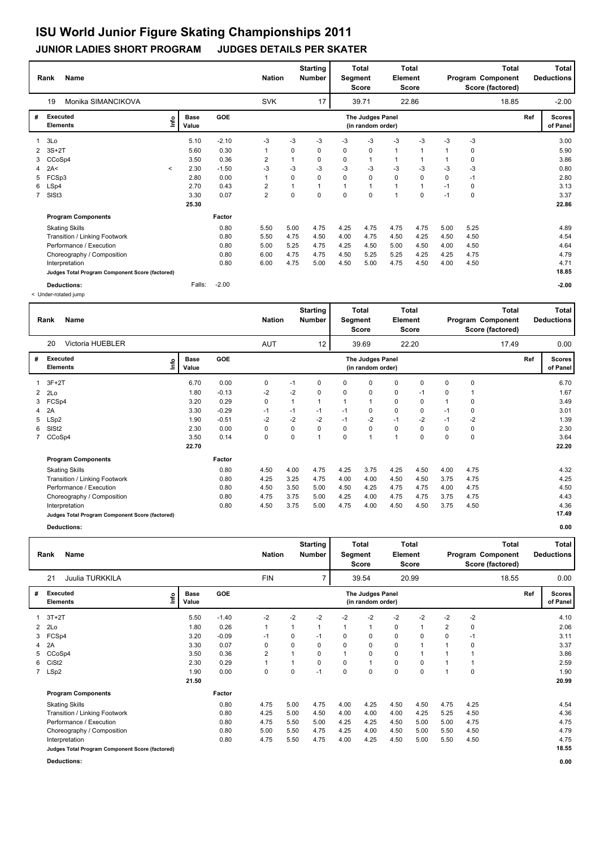#### **Rank Name Total Nation** Number | Segment Element Program Component Deductions **Total Segment Score Total Element Score Total Score (factored) Starting Number** Monika SIMANCIKOVA SVK 39.71 22.86 **# Executed Elements Base Value GOE Scores The Judges Panel of Panel** 1 5.10 -2.10 -3 -3 -3 -3 -3 -3 -3 -3 -3 **Ref**  3.00 19 **(in random order)** 18.85 3Lo **Info** 17 39.71 22.86 18.85 -2.00 2 3S+2T 5.60 0.30 1 0 0 0 0 1 1 1 0 5.90 3 CCoSp4 3.50 0.36 2 1 0 0 1 1 1 1 0 3.86 4 2A< < 2.30 -1.50 -3 -3 -3 -3 -3 -3 -3 -3 -3 0.80 5 FCSp3 2.80 0.00 1 0 0 0 0 0 0 0 -1 2.80 6 LSp4 2.70 0.43 2 1 1 1 1 1 1 -1 0 3.13 7 SlSt3 3.30 0.07 2 0 0 0 0 1 0 -1 0 3.37  **25.30 Program Components**  Skating Skills 5.50 5.00 4.75 4.25 4.75 4.75 4.75 5.00 5.25 **Factor** 0.80 5.50 5.00 4.75 4.75 4.75 4.75 4.75 5.00 5.25 4.89  **22.86** Transition / Linking Footwork 0.80 5.50 4.75 4.50 4.00 4.75 4.50 4.25 4.50 4.50 4.54 Performance / Execution 10.80 5.00 5.25 4.75 4.75 4.25 4.50 5.00 4.50 4.50 5.00 4.50 4.64 4.64 4.64 4.64 6.64<br>Choreography / Composition 10.80 6.00 4.75 4.75 4.75 5.25 5.25 4.25 4.25 4.75 4.79 Choreography / Composition 0.80 6.00 4.75 4.75 4.75 5.25 5.25 4.25 4.25 4.75 4.79 4.79<br>
0.80 6.00 4.75 5.00 4.50 5.00 4.75 5.00 4.75 4.50 4.00 4.50 4.70 4.71 10.80 6.00 4.75 5.00 4.75 5.00 4.75 4.50 4.00 4.50 5.00 4.71 4.71 4.50 4.71 4.71 4.71 4.71 4.71 4.71 **Judges Total Program Component Score (factored) 18.85 Deductions:** Falls: -2.00 **-2.00**

< Under-rotated jump

|   | Name<br>Rank                                    |                      |         | <b>Nation</b> |              | <b>Starting</b><br>Number | Segment  | Total<br>Score                        | Element     | Total<br><b>Score</b> |      |          | <b>Total</b><br>Program Component<br>Score (factored) |     | <b>Total</b><br><b>Deductions</b> |
|---|-------------------------------------------------|----------------------|---------|---------------|--------------|---------------------------|----------|---------------------------------------|-------------|-----------------------|------|----------|-------------------------------------------------------|-----|-----------------------------------|
|   | Victoria HUEBLER<br>20                          |                      |         | <b>AUT</b>    |              | 12                        |          | 39.69                                 |             | 22.20                 |      |          | 17.49                                                 |     | 0.00                              |
| # | Executed<br>١nfo<br><b>Elements</b>             | <b>Base</b><br>Value | GOE     |               |              |                           |          | The Judges Panel<br>(in random order) |             |                       |      |          |                                                       | Ref | <b>Scores</b><br>of Panel         |
|   | $3F+2T$                                         | 6.70                 | 0.00    | 0             | $-1$         | 0                         | 0        | 0                                     | 0           | $\Omega$              | 0    | $\Omega$ |                                                       |     | 6.70                              |
| 2 | 2Lo                                             | 1.80                 | $-0.13$ | $-2$          | $-2$         | 0                         | 0        | 0                                     | 0           | $-1$                  | 0    |          |                                                       |     | 1.67                              |
| 3 | FCSp4                                           | 3.20                 | 0.29    | 0             | $\mathbf{1}$ | 1                         |          | 1                                     | 0           | 0                     |      | 0        |                                                       |     | 3.49                              |
| 4 | 2A                                              | 3.30                 | $-0.29$ | $-1$          | $-1$         | $-1$                      | $-1$     | 0                                     | 0           | 0                     | $-1$ | 0        |                                                       |     | 3.01                              |
| 5 | LSp2                                            | 1.90                 | $-0.51$ | $-2$          | $-2$         | $-2$                      | $-1$     | $-2$                                  | $-1$        | $-2$                  | $-1$ | $-2$     |                                                       |     | 1.39                              |
| 6 | SISt <sub>2</sub>                               | 2.30                 | 0.00    | 0             | 0            | 0                         | 0        | 0                                     | $\mathbf 0$ | 0                     | 0    | 0        |                                                       |     | 2.30                              |
|   | 7 CCoSp4                                        | 3.50                 | 0.14    | 0             | 0            | $\overline{1}$            | $\Omega$ | 1                                     | 1           | $\Omega$              | 0    | $\Omega$ |                                                       |     | 3.64                              |
|   |                                                 | 22.70                |         |               |              |                           |          |                                       |             |                       |      |          |                                                       |     | 22.20                             |
|   | <b>Program Components</b>                       |                      | Factor  |               |              |                           |          |                                       |             |                       |      |          |                                                       |     |                                   |
|   | <b>Skating Skills</b>                           |                      | 0.80    | 4.50          | 4.00         | 4.75                      | 4.25     | 3.75                                  | 4.25        | 4.50                  | 4.00 | 4.75     |                                                       |     | 4.32                              |
|   | Transition / Linking Footwork                   |                      | 0.80    | 4.25          | 3.25         | 4.75                      | 4.00     | 4.00                                  | 4.50        | 4.50                  | 3.75 | 4.75     |                                                       |     | 4.25                              |
|   | Performance / Execution                         |                      | 0.80    | 4.50          | 3.50         | 5.00                      | 4.50     | 4.25                                  | 4.75        | 4.75                  | 4.00 | 4.75     |                                                       |     | 4.50                              |
|   | Choreography / Composition                      |                      | 0.80    | 4.75          | 3.75         | 5.00                      | 4.25     | 4.00                                  | 4.75        | 4.75                  | 3.75 | 4.75     |                                                       |     | 4.43                              |
|   | Interpretation                                  |                      | 0.80    | 4.50          | 3.75         | 5.00                      | 4.75     | 4.00                                  | 4.50        | 4.50                  | 3.75 | 4.50     |                                                       |     | 4.36                              |
|   | Judges Total Program Component Score (factored) |                      |         |               |              |                           |          |                                       |             |                       |      |          |                                                       |     | 17.49                             |
|   |                                                 |                      |         |               |              |                           |          |                                       |             |                       |      |          |                                                       |     |                                   |

|   | <b>Name</b><br>Rank                             |      |                      |         | <b>Nation</b> |             | <b>Starting</b><br><b>Number</b> | Segment  | <b>Total</b><br>Score                 | Element     | <b>Total</b><br>Score |      |             | <b>Total</b><br>Program Component<br>Score (factored) |     | Total<br><b>Deductions</b> |
|---|-------------------------------------------------|------|----------------------|---------|---------------|-------------|----------------------------------|----------|---------------------------------------|-------------|-----------------------|------|-------------|-------------------------------------------------------|-----|----------------------------|
|   | Juulia TURKKILA<br>21                           |      |                      |         | <b>FIN</b>    |             | $\overline{7}$                   |          | 39.54                                 |             | 20.99                 |      |             | 18.55                                                 |     | 0.00                       |
| # | Executed<br><b>Elements</b>                     | ١nfo | <b>Base</b><br>Value | GOE     |               |             |                                  |          | The Judges Panel<br>(in random order) |             |                       |      |             |                                                       | Ref | <b>Scores</b><br>of Panel  |
| 1 | 3T+2T                                           |      | 5.50                 | $-1.40$ | $-2$          | $-2$        | $-2$                             | $-2$     | $-2$                                  | $-2$        | $-2$                  | $-2$ | $-2$        |                                                       |     | 4.10                       |
|   | $2$ $2$ Lo                                      |      | 1.80                 | 0.26    | 1             |             |                                  |          | $\mathbf{1}$                          | 0           |                       | 2    | 0           |                                                       |     | 2.06                       |
|   | 3 FCSp4                                         |      | 3.20                 | $-0.09$ | $-1$          | 0           | $-1$                             | 0        | 0                                     | 0           | 0                     | 0    | $-1$        |                                                       |     | 3.11                       |
| 4 | 2A                                              |      | 3.30                 | 0.07    | 0             | 0           | $\Omega$                         | $\Omega$ | 0                                     | 0           |                       |      | 0           |                                                       |     | 3.37                       |
| 5 | CCoSp4                                          |      | 3.50                 | 0.36    | 2             |             | 0                                |          | 0                                     | 0           |                       |      |             |                                                       |     | 3.86                       |
| 6 | CiSt <sub>2</sub>                               |      | 2.30                 | 0.29    | 1             |             | $\Omega$                         | $\Omega$ | $\mathbf{1}$                          | 0           | 0                     |      |             |                                                       |     | 2.59                       |
|   | 7 LSp2                                          |      | 1.90                 | 0.00    | 0             | $\mathbf 0$ | $-1$                             | 0        | $\mathbf 0$                           | $\mathbf 0$ | 0                     |      | $\mathbf 0$ |                                                       |     | 1.90                       |
|   |                                                 |      | 21.50                |         |               |             |                                  |          |                                       |             |                       |      |             |                                                       |     | 20.99                      |
|   | <b>Program Components</b>                       |      |                      | Factor  |               |             |                                  |          |                                       |             |                       |      |             |                                                       |     |                            |
|   | <b>Skating Skills</b>                           |      |                      | 0.80    | 4.75          | 5.00        | 4.75                             | 4.00     | 4.25                                  | 4.50        | 4.50                  | 4.75 | 4.25        |                                                       |     | 4.54                       |
|   | Transition / Linking Footwork                   |      |                      | 0.80    | 4.25          | 5.00        | 4.50                             | 4.00     | 4.00                                  | 4.00        | 4.25                  | 5.25 | 4.50        |                                                       |     | 4.36                       |
|   | Performance / Execution                         |      |                      | 0.80    | 4.75          | 5.50        | 5.00                             | 4.25     | 4.25                                  | 4.50        | 5.00                  | 5.00 | 4.75        |                                                       |     | 4.75                       |
|   | Choreography / Composition                      |      |                      | 0.80    | 5.00          | 5.50        | 4.75                             | 4.25     | 4.00                                  | 4.50        | 5.00                  | 5.50 | 4.50        |                                                       |     | 4.79                       |
|   | Interpretation                                  |      |                      | 0.80    | 4.75          | 5.50        | 4.75                             | 4.00     | 4.25                                  | 4.50        | 5.00                  | 5.50 | 4.50        |                                                       |     | 4.75                       |
|   | Judges Total Program Component Score (factored) |      |                      |         |               |             |                                  |          |                                       |             |                       |      |             |                                                       |     | 18.55                      |
|   | <b>Deductions:</b>                              |      |                      |         |               |             |                                  |          |                                       |             |                       |      |             |                                                       |     | 0.00                       |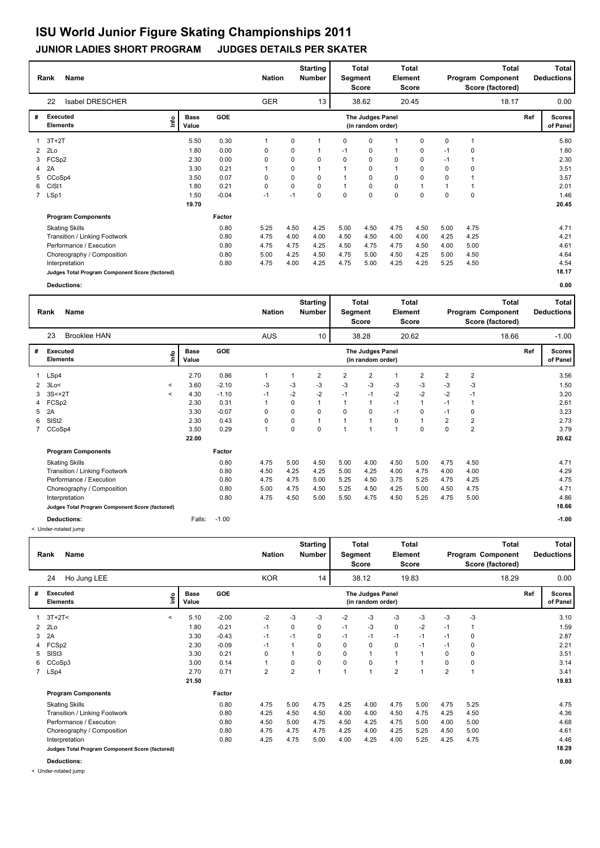#### **Rank Name Total Nation** Number | Segment Element Program Component Deductions **Total Segment Score Total Element Score Total Score (factored) Starting Number** Isabel DRESCHER GER 38.62 20.45 **# Executed Elements Base Value GOE Scores The Judges Panel of Panel** 1 5.50 0.30 1 0 1 0 0 1 0 0 1 **Ref**  5.80 22 **(in random order)** 18.17 3T+2T **Info** 13 | 38.62 20.45 18.17 0.00 2 2Lo 1.80 0.00 0 0 1 -1 0 1 0 -1 0 1.80 3 FCSp2 2.30 0.00 0 0 0 0 0 0 0 -1 1 2.30 4 2A 3.30 0.21 1 0 1 1 0 1 0 0 0 3.51 5 CCoSp4 3.50 0.07 0 0 0 1 0 0 0 0 1 3.57 6 CiSt1 1.80 0.21 0 0 0 1 0 0 1 1 1 2.01 7 LSp1 1.50 -0.04 -1 -1 0 0 0 0 0 0 0 1.46  **19.70 Program Components**  Skating Skills 5.25 4.50 4.25 5.00 4.50 4.75 4.50 5.00 4.75 **Factor** 0.80 4.71  **20.45** Transition / Linking Footwork 0.80 4.75 4.00 4.00 4.50 4.50 4.00 4.00 4.25 4.25 4.21 Performance / Execution 10.80 4.75 4.75 4.75 4.75 4.75 4.75 4.75 4.90 5.00 5.00 4.61<br>Choreography / Composition 10.80 5.00 4.25 4.50 4.75 5.00 4.50 4.25 5.00 4.50 4.64 Choreography / Composition 0.80 5.00 4.25 4.50 4.75 5.00 4.50 4.50 4.50 4.50 4.64<br>
0.80 4.75 4.00 4.25 5.00 4.25 4.25 5.25 4.50 4.54 Interpretation 0.80 4.75 4.00 4.25 4.75 5.00 4.25 4.25 5.25 4.50 4.54 **Judges Total Program Component Score (factored) 18.17**

**Deductions: 0.00**

|   | <b>Name</b><br>Rank                             |                          |                      |         | <b>Nation</b>  |      | <b>Starting</b><br><b>Number</b> | Segment        | Total<br><b>Score</b>                 | Element        | Total<br><b>Score</b> |                |                | Total<br>Program Component<br>Score (factored) |     | <b>Total</b><br><b>Deductions</b> |
|---|-------------------------------------------------|--------------------------|----------------------|---------|----------------|------|----------------------------------|----------------|---------------------------------------|----------------|-----------------------|----------------|----------------|------------------------------------------------|-----|-----------------------------------|
|   | 23<br><b>Brooklee HAN</b>                       |                          |                      |         | <b>AUS</b>     |      | 10                               |                | 38.28                                 |                | 20.62                 |                |                | 18.66                                          |     | $-1.00$                           |
| # | Executed<br><b>Elements</b>                     | ١n                       | <b>Base</b><br>Value | GOE     |                |      |                                  |                | The Judges Panel<br>(in random order) |                |                       |                |                |                                                | Ref | <b>Scores</b><br>of Panel         |
| 1 | LSp4                                            |                          | 2.70                 | 0.86    |                | 1    | $\overline{2}$                   | $\overline{2}$ | $\overline{2}$                        |                | 2                     | $\overline{2}$ | $\overline{2}$ |                                                |     | 3.56                              |
| 2 | 3Lo<                                            | $\overline{\phantom{a}}$ | 3.60                 | $-2.10$ | -3             | $-3$ | -3                               | $-3$           | $-3$                                  | -3             | $-3$                  | -3             | -3             |                                                |     | 1.50                              |
| 3 | $3S < +2T$                                      | $\overline{\phantom{a}}$ | 4.30                 | $-1.10$ | $-1$           | $-2$ | $-2$                             | $-1$           | $-1$                                  | $-2$           | $-2$                  | $-2$           | $-1$           |                                                |     | 3.20                              |
| 4 | FCSp2                                           |                          | 2.30                 | 0.31    |                | 0    | $\overline{1}$                   | $\overline{1}$ | 1                                     | $-1$           | $\mathbf{1}$          | $-1$           |                |                                                |     | 2.61                              |
| 5 | 2A                                              |                          | 3.30                 | $-0.07$ | 0              | 0    | $\Omega$                         | $\Omega$       | $\Omega$                              | $-1$           | $\Omega$              | $-1$           | 0              |                                                |     | 3.23                              |
| 6 | SISt <sub>2</sub>                               |                          | 2.30                 | 0.43    | 0              | 0    |                                  |                |                                       | 0              | 1                     | 2              | $\overline{2}$ |                                                |     | 2.73                              |
|   | 7 CCoSp4                                        |                          | 3.50                 | 0.29    | $\overline{1}$ | 0    | $\Omega$                         | 1              | 1                                     | $\overline{1}$ | 0                     | $\Omega$       | $\overline{2}$ |                                                |     | 3.79                              |
|   |                                                 |                          | 22.00                |         |                |      |                                  |                |                                       |                |                       |                |                |                                                |     | 20.62                             |
|   | <b>Program Components</b>                       |                          |                      | Factor  |                |      |                                  |                |                                       |                |                       |                |                |                                                |     |                                   |
|   | <b>Skating Skills</b>                           |                          |                      | 0.80    | 4.75           | 5.00 | 4.50                             | 5.00           | 4.00                                  | 4.50           | 5.00                  | 4.75           | 4.50           |                                                |     | 4.71                              |
|   | Transition / Linking Footwork                   |                          |                      | 0.80    | 4.50           | 4.25 | 4.25                             | 5.00           | 4.25                                  | 4.00           | 4.75                  | 4.00           | 4.00           |                                                |     | 4.29                              |
|   | Performance / Execution                         |                          |                      | 0.80    | 4.75           | 4.75 | 5.00                             | 5.25           | 4.50                                  | 3.75           | 5.25                  | 4.75           | 4.25           |                                                |     | 4.75                              |
|   | Choreography / Composition                      |                          |                      | 0.80    | 5.00           | 4.75 | 4.50                             | 5.25           | 4.50                                  | 4.25           | 5.00                  | 4.50           | 4.75           |                                                |     | 4.71                              |
|   | Interpretation                                  |                          |                      | 0.80    | 4.75           | 4.50 | 5.00                             | 5.50           | 4.75                                  | 4.50           | 5.25                  | 4.75           | 5.00           |                                                |     | 4.86                              |
|   | Judges Total Program Component Score (factored) |                          |                      |         |                |      |                                  |                |                                       |                |                       |                |                |                                                |     | 18.66                             |
|   | <b>Deductions:</b>                              |                          | Falls:               | $-1.00$ |                |      |                                  |                |                                       |                |                       |                |                |                                                |     | $-1.00$                           |

< Under-rotated jump

|   | <b>Name</b><br>Rank                             |         |                      |         | <b>Nation</b>  |                | <b>Starting</b><br><b>Number</b> | Segment  | Total<br><b>Score</b>                 | <b>Element</b> | <b>Total</b><br>Score |                |      | Total<br>Program Component<br>Score (factored) |     | Total<br><b>Deductions</b> |
|---|-------------------------------------------------|---------|----------------------|---------|----------------|----------------|----------------------------------|----------|---------------------------------------|----------------|-----------------------|----------------|------|------------------------------------------------|-----|----------------------------|
|   | Ho Jung LEE<br>24                               |         |                      |         | <b>KOR</b>     |                | 14                               |          | 38.12                                 |                | 19.83                 |                |      | 18.29                                          |     | 0.00                       |
| # | <b>Executed</b><br><b>Elements</b>              | lnfo    | <b>Base</b><br>Value | GOE     |                |                |                                  |          | The Judges Panel<br>(in random order) |                |                       |                |      |                                                | Ref | <b>Scores</b><br>of Panel  |
|   | $3T+2T2$                                        | $\prec$ | 5.10                 | $-2.00$ | $-2$           | $-3$           | -3                               | $-2$     | $-3$                                  | $-3$           | $-3$                  | $-3$           | $-3$ |                                                |     | 3.10                       |
|   | $2$ $2$ Lo                                      |         | 1.80                 | $-0.21$ | $-1$           | 0              | 0                                | $-1$     | $-3$                                  | 0              | $-2$                  | $-1$           | 1    |                                                |     | 1.59                       |
| 3 | 2A                                              |         | 3.30                 | $-0.43$ | $-1$           | $-1$           | 0                                | $-1$     | $-1$                                  | $-1$           | $-1$                  | $-1$           | 0    |                                                |     | 2.87                       |
|   | 4 FCSp2                                         |         | 2.30                 | $-0.09$ | $-1$           |                | 0                                | $\Omega$ | 0                                     | 0              | $-1$                  | $-1$           | 0    |                                                |     | 2.21                       |
| 5 | SISt <sub>3</sub>                               |         | 3.30                 | 0.21    | 0              |                | 0                                | 0        | $\mathbf{1}$                          | 1              |                       | 0              | 0    |                                                |     | 3.51                       |
|   | 6 CCoSp3                                        |         | 3.00                 | 0.14    | 1              | 0              | 0                                | 0        | $\mathbf 0$                           | 1              |                       | 0              | 0    |                                                |     | 3.14                       |
|   | 7 LSp4                                          |         | 2.70                 | 0.71    | $\overline{2}$ | $\overline{2}$ | 1                                | 1        | $\overline{1}$                        | $\overline{2}$ | 1                     | $\overline{2}$ | 1    |                                                |     | 3.41                       |
|   |                                                 |         | 21.50                |         |                |                |                                  |          |                                       |                |                       |                |      |                                                |     | 19.83                      |
|   | <b>Program Components</b>                       |         |                      | Factor  |                |                |                                  |          |                                       |                |                       |                |      |                                                |     |                            |
|   | <b>Skating Skills</b>                           |         |                      | 0.80    | 4.75           | 5.00           | 4.75                             | 4.25     | 4.00                                  | 4.75           | 5.00                  | 4.75           | 5.25 |                                                |     | 4.75                       |
|   | Transition / Linking Footwork                   |         |                      | 0.80    | 4.25           | 4.50           | 4.50                             | 4.00     | 4.00                                  | 4.50           | 4.75                  | 4.25           | 4.50 |                                                |     | 4.36                       |
|   | Performance / Execution                         |         |                      | 0.80    | 4.50           | 5.00           | 4.75                             | 4.50     | 4.25                                  | 4.75           | 5.00                  | 4.00           | 5.00 |                                                |     | 4.68                       |
|   | Choreography / Composition                      |         |                      | 0.80    | 4.75           | 4.75           | 4.75                             | 4.25     | 4.00                                  | 4.25           | 5.25                  | 4.50           | 5.00 |                                                |     | 4.61                       |
|   | Interpretation                                  |         |                      | 0.80    | 4.25           | 4.75           | 5.00                             | 4.00     | 4.25                                  | 4.00           | 5.25                  | 4.25           | 4.75 |                                                |     | 4.46                       |
|   | Judges Total Program Component Score (factored) |         |                      |         |                |                |                                  |          |                                       |                |                       |                |      |                                                |     | 18.29                      |
|   | <b>Deductions:</b>                              |         |                      |         |                |                |                                  |          |                                       |                |                       |                |      |                                                |     | 0.00                       |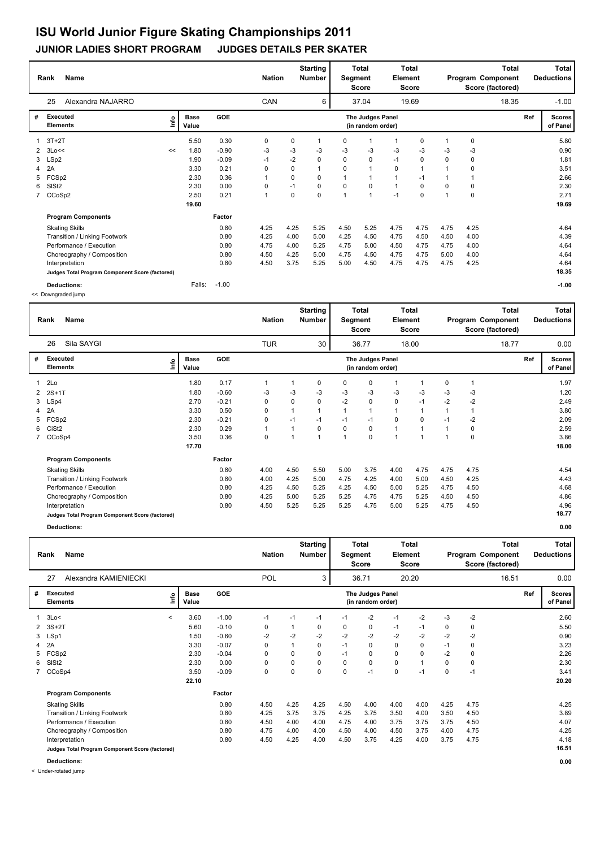### **JUNIOR LADIES SHORT PROGRAM JUDGES DETAILS PER SKATER**

|             | <b>Name</b><br>Rank                             |      |                      |         |                | <b>Nation</b> |             | <b>Starting</b><br><b>Number</b> | Segment        | Total<br><b>Score</b>                 | Element      | <b>Total</b><br>Score |                |                | <b>Total</b><br>Program Component<br>Score (factored) |     | Total<br><b>Deductions</b> |
|-------------|-------------------------------------------------|------|----------------------|---------|----------------|---------------|-------------|----------------------------------|----------------|---------------------------------------|--------------|-----------------------|----------------|----------------|-------------------------------------------------------|-----|----------------------------|
|             | 25<br>Alexandra NAJARRO                         |      |                      |         |                | CAN           |             | 6                                |                | 37.04                                 |              | 19.69                 |                |                | 18.35                                                 |     | $-1.00$                    |
| #           | Executed<br><b>Elements</b>                     | lnfo | <b>Base</b><br>Value | GOE     |                |               |             |                                  |                | The Judges Panel<br>(in random order) |              |                       |                |                |                                                       | Ref | <b>Scores</b><br>of Panel  |
|             | $3T+2T$                                         |      | 5.50                 | 0.30    | 0              |               | 0           | $\mathbf{1}$                     | 0              | $\mathbf 1$                           | $\mathbf{1}$ | 0                     |                | $\mathbf 0$    |                                                       |     | 5.80                       |
|             | $2 \t3Lo <<$                                    | <<   | 1.80                 | $-0.90$ | $-3$           |               | $-3$        | $-3$                             | $-3$           | $-3$                                  | $-3$         | -3                    | -3             | -3             |                                                       |     | 0.90                       |
| 3           | LSp2                                            |      | 1.90                 | $-0.09$ | $-1$           |               | $-2$        | 0                                | $\Omega$       | $\mathbf 0$                           | $-1$         | $\mathbf 0$           | $\Omega$       | $\mathbf 0$    |                                                       |     | 1.81                       |
| 4           | 2A                                              |      | 3.30                 | 0.21    | 0              |               | 0           | 1                                | $\Omega$       | 1                                     | 0            |                       |                | 0              |                                                       |     | 3.51                       |
| 5           | FCSp2                                           |      | 2.30                 | 0.36    | 1              |               | $\mathbf 0$ | 0                                |                | $\mathbf{1}$                          | $\mathbf{1}$ | $-1$                  |                | $\overline{1}$ |                                                       |     | 2.66                       |
| 6           | SISt <sub>2</sub>                               |      | 2.30                 | 0.00    | 0              |               | $-1$        | 0                                | 0              | 0                                     | $\mathbf{1}$ | 0                     | $\Omega$       | 0              |                                                       |     | 2.30                       |
| $7^{\circ}$ | CCoSp2                                          |      | 2.50                 | 0.21    | $\overline{1}$ |               | 0           | 0                                | $\overline{1}$ | $\mathbf{1}$                          | $-1$         | $\mathbf 0$           | $\overline{1}$ | 0              |                                                       |     | 2.71                       |
|             |                                                 |      | 19.60                |         |                |               |             |                                  |                |                                       |              |                       |                |                |                                                       |     | 19.69                      |
|             | <b>Program Components</b>                       |      |                      | Factor  |                |               |             |                                  |                |                                       |              |                       |                |                |                                                       |     |                            |
|             | <b>Skating Skills</b>                           |      |                      | 0.80    | 4.25           |               | 4.25        | 5.25                             | 4.50           | 5.25                                  | 4.75         | 4.75                  | 4.75           | 4.25           |                                                       |     | 4.64                       |
|             | Transition / Linking Footwork                   |      |                      | 0.80    | 4.25           |               | 4.00        | 5.00                             | 4.25           | 4.50                                  | 4.75         | 4.50                  | 4.50           | 4.00           |                                                       |     | 4.39                       |
|             | Performance / Execution                         |      |                      | 0.80    | 4.75           |               | 4.00        | 5.25                             | 4.75           | 5.00                                  | 4.50         | 4.75                  | 4.75           | 4.00           |                                                       |     | 4.64                       |
|             | Choreography / Composition                      |      |                      | 0.80    | 4.50           |               | 4.25        | 5.00                             | 4.75           | 4.50                                  | 4.75         | 4.75                  | 5.00           | 4.00           |                                                       |     | 4.64                       |
|             | Interpretation                                  |      |                      | 0.80    | 4.50           |               | 3.75        | 5.25                             | 5.00           | 4.50                                  | 4.75         | 4.75                  | 4.75           | 4.25           |                                                       |     | 4.64                       |
|             | Judges Total Program Component Score (factored) |      |                      |         |                |               |             |                                  |                |                                       |              |                       |                |                |                                                       |     | 18.35                      |
|             | <b>Deductions:</b>                              |      | Falls:               | $-1.00$ |                |               |             |                                  |                |                                       |              |                       |                |                |                                                       |     | $-1.00$                    |

<< Downgraded jump

|              | <b>Name</b><br>Rank                                                                                                                                                                                               |                                                               |                                                               | <b>Nation</b>                        |                                                | <b>Starting</b><br><b>Number</b>                            | Segment                              | <b>Total</b><br><b>Score</b>                 | Element                                                             | <b>Total</b><br><b>Score</b>                       |                                                                |                                      | <b>Total</b><br>Program Component<br>Score (factored) |     | Total<br><b>Deductions</b>                                    |
|--------------|-------------------------------------------------------------------------------------------------------------------------------------------------------------------------------------------------------------------|---------------------------------------------------------------|---------------------------------------------------------------|--------------------------------------|------------------------------------------------|-------------------------------------------------------------|--------------------------------------|----------------------------------------------|---------------------------------------------------------------------|----------------------------------------------------|----------------------------------------------------------------|--------------------------------------|-------------------------------------------------------|-----|---------------------------------------------------------------|
|              | Sila SAYGI<br>26                                                                                                                                                                                                  |                                                               |                                                               | <b>TUR</b>                           |                                                | 30                                                          |                                      | 36.77                                        |                                                                     | 18.00                                              |                                                                |                                      | 18.77                                                 |     | 0.00                                                          |
| #            | Executed<br><b>Elements</b>                                                                                                                                                                                       | <b>Base</b><br>١nfo<br>Value                                  | <b>GOE</b>                                                    |                                      |                                                |                                                             |                                      | The Judges Panel<br>(in random order)        |                                                                     |                                                    |                                                                |                                      |                                                       | Ref | <b>Scores</b><br>of Panel                                     |
| 3<br>5<br>6. | 1 2Lo<br>$2$ $2S+1T$<br>LSp4<br>4 2A<br>FCSp2<br>CiSt <sub>2</sub><br>7 CCoSp4                                                                                                                                    | 1.80<br>1.80<br>2.70<br>3.30<br>2.30<br>2.30<br>3.50<br>17.70 | 0.17<br>$-0.60$<br>$-0.21$<br>0.50<br>$-0.21$<br>0.29<br>0.36 | -3<br>0<br>0<br>0<br>$\mathbf 0$     | 1<br>-3<br>0<br>$\mathbf{1}$<br>$-1$<br>1<br>1 | 0<br>-3<br>0<br>$\mathbf{1}$<br>$-1$<br>0<br>$\overline{1}$ | 0<br>-3<br>$-2$<br>$-1$<br>$\Omega$  | 0<br>$-3$<br>0<br>1<br>$-1$<br>0<br>$\Omega$ | 1<br>$-3$<br>0<br>$\mathbf{1}$<br>0<br>$\mathbf{1}$<br>$\mathbf{1}$ | -3<br>$-1$<br>1<br>$\Omega$<br>1<br>$\overline{ }$ | 0<br>-3<br>$-2$<br>1<br>$-1$<br>$\mathbf{1}$<br>$\overline{ }$ | -3<br>$-2$<br>$-2$<br>0<br>0         |                                                       |     | 1.97<br>1.20<br>2.49<br>3.80<br>2.09<br>2.59<br>3.86<br>18.00 |
|              | <b>Program Components</b><br><b>Skating Skills</b><br>Transition / Linking Footwork<br>Performance / Execution<br>Choreography / Composition<br>Interpretation<br>Judges Total Program Component Score (factored) |                                                               | Factor<br>0.80<br>0.80<br>0.80<br>0.80<br>0.80                | 4.00<br>4.00<br>4.25<br>4.25<br>4.50 | 4.50<br>4.25<br>4.50<br>5.00<br>5.25           | 5.50<br>5.00<br>5.25<br>5.25<br>5.25                        | 5.00<br>4.75<br>4.25<br>5.25<br>5.25 | 3.75<br>4.25<br>4.50<br>4.75<br>4.75         | 4.00<br>4.00<br>5.00<br>4.75<br>5.00                                | 4.75<br>5.00<br>5.25<br>5.25<br>5.25               | 4.75<br>4.50<br>4.75<br>4.50<br>4.75                           | 4.75<br>4.25<br>4.50<br>4.50<br>4.50 |                                                       |     | 4.54<br>4.43<br>4.68<br>4.86<br>4.96<br>18.77                 |

**Deductions: 0.00**

|   | Rank<br>Name                                    |              |                      |            | <b>Nation</b> |      | <b>Starting</b><br><b>Number</b> | Segment | <b>Total</b><br><b>Score</b>          | Element | Total<br><b>Score</b> |      |      | <b>Total</b><br>Program Component<br>Score (factored) |     | Total<br><b>Deductions</b> |
|---|-------------------------------------------------|--------------|----------------------|------------|---------------|------|----------------------------------|---------|---------------------------------------|---------|-----------------------|------|------|-------------------------------------------------------|-----|----------------------------|
|   | 27<br>Alexandra KAMIENIECKI                     |              |                      |            | <b>POL</b>    |      | 3                                |         | 36.71                                 |         | 20.20                 |      |      | 16.51                                                 |     | 0.00                       |
| # | <b>Executed</b><br><b>Elements</b>              | ۴ů           | <b>Base</b><br>Value | <b>GOE</b> |               |      |                                  |         | The Judges Panel<br>(in random order) |         |                       |      |      |                                                       | Ref | <b>Scores</b><br>of Panel  |
|   | $1 \quad 3Lo<$                                  | $\checkmark$ | 3.60                 | $-1.00$    | $-1$          | $-1$ | $-1$                             | $-1$    | $-2$                                  | $-1$    | $-2$                  | $-3$ | $-2$ |                                                       |     | 2.60                       |
|   | 2 3S+2T                                         |              | 5.60                 | $-0.10$    | 0             | 1    | 0                                | 0       | 0                                     | $-1$    | $-1$                  | 0    | 0    |                                                       |     | 5.50                       |
| 3 | LSp1                                            |              | 1.50                 | $-0.60$    | $-2$          | $-2$ | $-2$                             | $-2$    | $-2$                                  | $-2$    | $-2$                  | $-2$ | $-2$ |                                                       |     | 0.90                       |
|   | 4 2A                                            |              | 3.30                 | $-0.07$    | 0             | 1    | 0                                | $-1$    | 0                                     | 0       | 0                     | $-1$ | 0    |                                                       |     | 3.23                       |
| 5 | FCSp2                                           |              | 2.30                 | $-0.04$    | 0             | 0    | 0                                | $-1$    | 0                                     | 0       | 0                     | $-2$ | 0    |                                                       |     | 2.26                       |
| 6 | SISt <sub>2</sub>                               |              | 2.30                 | 0.00       | 0             | 0    | 0                                | 0       | 0                                     | 0       |                       | 0    | 0    |                                                       |     | 2.30                       |
|   | 7 CCoSp4                                        |              | 3.50                 | $-0.09$    | 0             | 0    | 0                                | 0       | $-1$                                  | 0       | $-1$                  | 0    | $-1$ |                                                       |     | 3.41                       |
|   |                                                 |              | 22.10                |            |               |      |                                  |         |                                       |         |                       |      |      |                                                       |     | 20.20                      |
|   | <b>Program Components</b>                       |              |                      | Factor     |               |      |                                  |         |                                       |         |                       |      |      |                                                       |     |                            |
|   | <b>Skating Skills</b>                           |              |                      | 0.80       | 4.50          | 4.25 | 4.25                             | 4.50    | 4.00                                  | 4.00    | 4.00                  | 4.25 | 4.75 |                                                       |     | 4.25                       |
|   | Transition / Linking Footwork                   |              |                      | 0.80       | 4.25          | 3.75 | 3.75                             | 4.25    | 3.75                                  | 3.50    | 4.00                  | 3.50 | 4.50 |                                                       |     | 3.89                       |
|   | Performance / Execution                         |              |                      | 0.80       | 4.50          | 4.00 | 4.00                             | 4.75    | 4.00                                  | 3.75    | 3.75                  | 3.75 | 4.50 |                                                       |     | 4.07                       |
|   | Choreography / Composition                      |              |                      | 0.80       | 4.75          | 4.00 | 4.00                             | 4.50    | 4.00                                  | 4.50    | 3.75                  | 4.00 | 4.75 |                                                       |     | 4.25                       |
|   | Interpretation                                  |              |                      | 0.80       | 4.50          | 4.25 | 4.00                             | 4.50    | 3.75                                  | 4.25    | 4.00                  | 3.75 | 4.75 |                                                       |     | 4.18                       |
|   | Judges Total Program Component Score (factored) |              |                      |            |               |      |                                  |         |                                       |         |                       |      |      |                                                       |     | 16.51                      |
|   |                                                 |              |                      |            |               |      |                                  |         |                                       |         |                       |      |      |                                                       |     |                            |

**Deductions: 0.00**